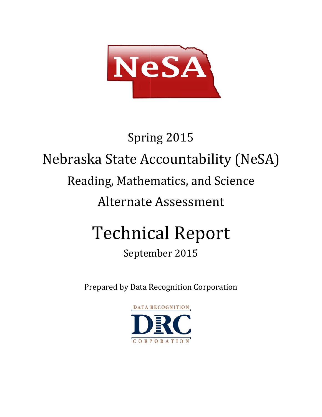

# Nebraska State Accountability (NeSA) Reading, Mathematics, and Science Alternate Assessment Technical Report Spring 2015

# September 2015

Prepared by Data Recognition Corporation

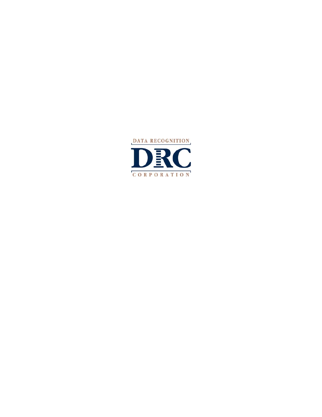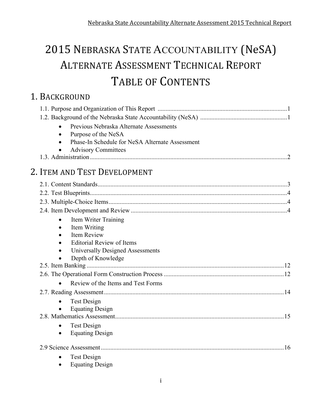# 2015 NEBRASKA STATE ACCOUNTABILITY (NeSA) ALTERNATE ASSESSMENT TECHNICAL REPORT TABLE OF CONTENTS

# 1. BACKGROUND

| Previous Nebraska Alternate Assessments         |  |
|-------------------------------------------------|--|
| Purpose of the NeSA                             |  |
| Phase-In Schedule for NeSA Alternate Assessment |  |
| <b>Advisory Committees</b>                      |  |
|                                                 |  |
| 2. ITEM AND TEST DEVELOPMENT                    |  |
|                                                 |  |
|                                                 |  |
|                                                 |  |
|                                                 |  |
| Item Writer Training<br>$\bullet$               |  |
| Item Writing<br>$\bullet$                       |  |
| Item Review                                     |  |
| <b>Editorial Review of Items</b>                |  |
| Universally Designed Assessments                |  |
| Depth of Knowledge                              |  |
|                                                 |  |
|                                                 |  |
| Review of the Items and Test Forms<br>$\bullet$ |  |
|                                                 |  |
| <b>Test Design</b>                              |  |
| <b>Equating Design</b>                          |  |
|                                                 |  |
| <b>Test Design</b><br>$\bullet$                 |  |
| <b>Equating Design</b><br>٠                     |  |
|                                                 |  |
| <b>Test Design</b>                              |  |
| <b>Equating Design</b>                          |  |
|                                                 |  |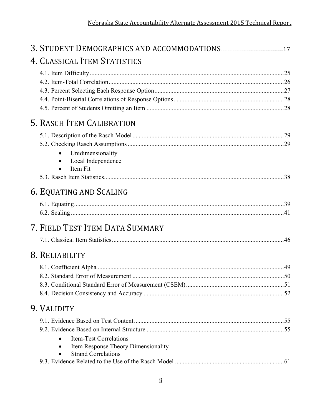| 4. CLASSICAL ITEM STATISTICS                                      |  |
|-------------------------------------------------------------------|--|
|                                                                   |  |
|                                                                   |  |
|                                                                   |  |
|                                                                   |  |
| 5. RASCH ITEM CALIBRATION                                         |  |
|                                                                   |  |
|                                                                   |  |
| Unidimensionality                                                 |  |
| Local Independence<br>Item Fit                                    |  |
|                                                                   |  |
| 6. EQUATING AND SCALING                                           |  |
|                                                                   |  |
|                                                                   |  |
| 7. FIELD TEST ITEM DATA SUMMARY                                   |  |
|                                                                   |  |
| 8. RELIABILITY                                                    |  |
|                                                                   |  |
|                                                                   |  |
|                                                                   |  |
|                                                                   |  |
| 9. VALIDITY                                                       |  |
|                                                                   |  |
|                                                                   |  |
| <b>Item-Test Correlations</b>                                     |  |
| Item Response Theory Dimensionality<br><b>Strand Correlations</b> |  |
|                                                                   |  |
|                                                                   |  |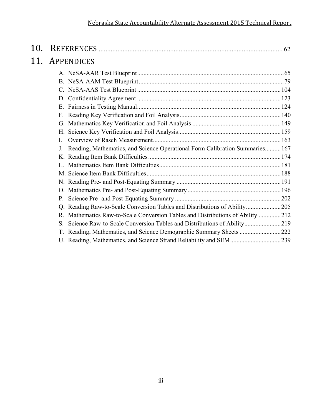| 10. |                                                                                        |  |
|-----|----------------------------------------------------------------------------------------|--|
| 11. | APPENDICES                                                                             |  |
|     |                                                                                        |  |
|     |                                                                                        |  |
|     |                                                                                        |  |
|     |                                                                                        |  |
|     |                                                                                        |  |
|     |                                                                                        |  |
|     |                                                                                        |  |
|     |                                                                                        |  |
|     | $\mathbf{I}$                                                                           |  |
|     | Reading, Mathematics, and Science Operational Form Calibration Summaries167<br>$J_{-}$ |  |
|     |                                                                                        |  |
|     |                                                                                        |  |
|     |                                                                                        |  |
|     |                                                                                        |  |
|     |                                                                                        |  |
|     |                                                                                        |  |
|     | Q. Reading Raw-to-Scale Conversion Tables and Distributions of Ability205              |  |
|     | R. Mathematics Raw-to-Scale Conversion Tables and Distributions of Ability 212         |  |
|     | Science Raw-to-Scale Conversion Tables and Distributions of Ability219<br>S.           |  |
|     | T. Reading, Mathematics, and Science Demographic Summary Sheets 222                    |  |
|     | U. Reading, Mathematics, and Science Strand Reliability and SEM239                     |  |
|     |                                                                                        |  |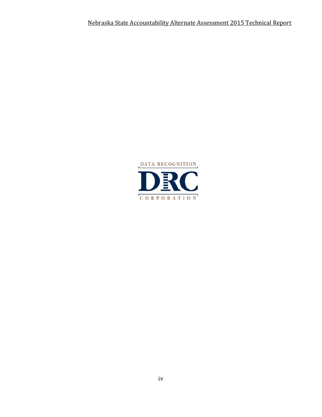Nebraska State Accountability Alternate Assessment 2015 Technical Report 

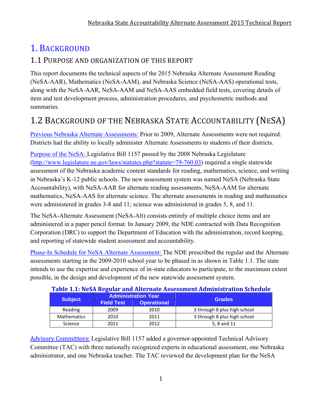# 1. BACKGROUND

### 1.1 PURPOSE AND ORGANIZATION OF THIS REPORT

This report documents the technical aspects of the 2015 Nebraska Alternate Assessment Reading (NeSA-AAR), Mathematics (NeSA-AAM), and Nebraska Science (NeSA-AAS) operational tests, along with the NeSA-AAR, NeSA-AAM and NeSA-AAS embedded field tests, covering details of item and test development process, administration procedures, and psychometric methods and summaries.

# 1.2 BACKGROUND OF THE NEBRASKA STATE ACCOUNTABILITY (NESA)

Previous Nebraska Alternate Assessments: Prior to 2009, Alternate Assessments were not required. Districts had the ability to locally administer Alternate Assessments to students of their districts.

Purpose of the NeSA: Legislative Bill 1157 passed by the 2008 Nebraska Legislature (http://www.legislature.ne.gov/laws/statutes.php?statute=79-760.03) required a single statewide assessment of the Nebraska academic content standards for reading, mathematics, science, and writing in Nebraska's K-12 public schools. The new assessment system was named NeSA (Nebraska State Accountability), with NeSA-AAR for alternate reading assessments, NeSA-AAM for alternate mathematics, NeSA-AAS for alternate science. The alternate assessments in reading and mathematics were administered in grades 3-8 and 11; science was administered in grades 5, 8, and 11.

The NeSA-Alternate Assessment (NeSA-Alt) consists entirely of multiple choice items and are administered in a paper pencil format. In January 2009, the NDE contracted with Data Recognition Corporation (DRC) to support the Department of Education with the administration, record keeping, and reporting of statewide student assessment and accountability.

Phase-In Schedule for NeSA Alternate Assessment: The NDE prescribed the regular and the Alternate assessments starting in the 2009-2010 school year to be phased in as shown in Table 1.1. The state intends to use the expertise and experience of in-state educators to participate, to the maximum extent possible, in the design and development of the new statewide assessment system.

| Table 1.1. Nesh Regular and Alternate Assessment Administration Schedule |                   |                            |                              |  |  |  |  |
|--------------------------------------------------------------------------|-------------------|----------------------------|------------------------------|--|--|--|--|
| <b>Subject</b>                                                           |                   | <b>Administration Year</b> | <b>Grades</b>                |  |  |  |  |
|                                                                          | <b>Field Test</b> | <b>Operational</b>         |                              |  |  |  |  |
| Reading                                                                  | 2009              | 2010                       | 3 through 8 plus high school |  |  |  |  |
| <b>Mathematics</b>                                                       | 2010              | 2011                       | 3 through 8 plus high school |  |  |  |  |
| Science                                                                  | 2011              | 2012                       | 5, 8 and 11                  |  |  |  |  |

### **Table 1.1: NeSA Regular and Alternate Assessment Administration Schedule**

Advisory Committees: Legislative Bill 1157 added a governor-appointed Technical Advisory Committee (TAC) with three nationally recognized experts in educational assessment, one Nebraska administrator, and one Nebraska teacher. The TAC reviewed the development plan for the NeSA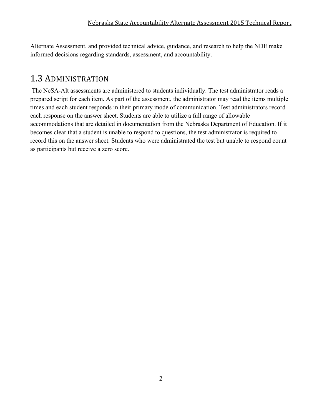Alternate Assessment, and provided technical advice, guidance, and research to help the NDE make informed decisions regarding standards, assessment, and accountability.

# 1.3 ADMINISTRATION

 The NeSA-Alt assessments are administered to students individually. The test administrator reads a prepared script for each item. As part of the assessment, the administrator may read the items multiple times and each student responds in their primary mode of communication. Test administrators record each response on the answer sheet. Students are able to utilize a full range of allowable accommodations that are detailed in documentation from the Nebraska Department of Education. If it becomes clear that a student is unable to respond to questions, the test administrator is required to record this on the answer sheet. Students who were administrated the test but unable to respond count as participants but receive a zero score.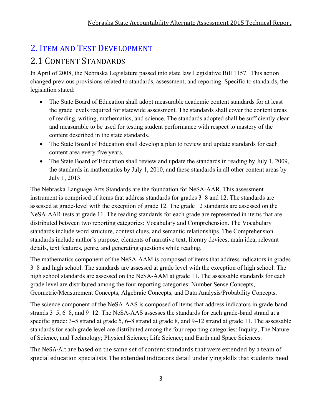# 2. ITEM AND TEST DEVELOPMENT

# 2.1 CONTENT STANDARDS

In April of 2008, the Nebraska Legislature passed into state law Legislative Bill 1157. This action changed previous provisions related to standards, assessment, and reporting. Specific to standards, the legislation stated:

- The State Board of Education shall adopt measurable academic content standards for at least the grade levels required for statewide assessment. The standards shall cover the content areas of reading, writing, mathematics, and science. The standards adopted shall be sufficiently clear and measurable to be used for testing student performance with respect to mastery of the content described in the state standards.
- The State Board of Education shall develop a plan to review and update standards for each content area every five years.
- The State Board of Education shall review and update the standards in reading by July 1, 2009, the standards in mathematics by July 1, 2010, and these standards in all other content areas by July 1, 2013.

The Nebraska Language Arts Standards are the foundation for NeSA-AAR. This assessment instrument is comprised of items that address standards for grades 3–8 and 12. The standards are assessed at grade-level with the exception of grade 12. The grade 12 standards are assessed on the NeSA-AAR tests at grade 11. The reading standards for each grade are represented in items that are distributed between two reporting categories: Vocabulary and Comprehension. The Vocabulary standards include word structure, context clues, and semantic relationships. The Comprehension standards include author's purpose, elements of narrative text, literary devices, main idea, relevant details, text features, genre, and generating questions while reading.

The mathematics component of the NeSA-AAM is composed of items that address indicators in grades 3–8 and high school. The standards are assessed at grade level with the exception of high school. The high school standards are assessed on the NeSA-AAM at grade 11. The assessable standards for each grade level are distributed among the four reporting categories: Number Sense Concepts, Geometric/Measurement Concepts, Algebraic Concepts, and Data Analysis/Probability Concepts.

The science component of the NeSA-AAS is composed of items that address indicators in grade-band strands 3–5, 6–8, and 9–12. The NeSA-AAS assesses the standards for each grade-band strand at a specific grade: 3–5 strand at grade 5, 6–8 strand at grade 8, and 9–12 strand at grade 11. The assessable standards for each grade level are distributed among the four reporting categories: Inquiry, The Nature of Science, and Technology; Physical Science; Life Science; and Earth and Space Sciences.

The NeSA-Alt are based on the same set of content standards that were extended by a team of special education specialists. The extended indicators detail underlying skills that students need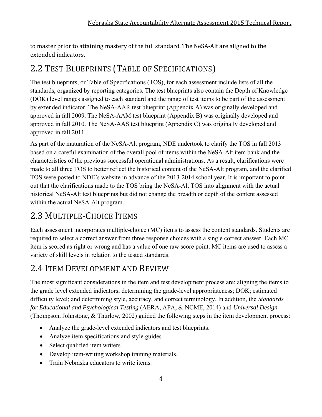to master prior to attaining mastery of the full standard. The NeSA-Alt are aligned to the extended indicators.

# 2.2 TEST BLUEPRINTS (TABLE OF SPECIFICATIONS)

The test blueprints, or Table of Specifications (TOS), for each assessment include lists of all the standards, organized by reporting categories. The test blueprints also contain the Depth of Knowledge (DOK) level ranges assigned to each standard and the range of test items to be part of the assessment by extended indicator. The NeSA-AAR test blueprint (Appendix A) was originally developed and approved in fall 2009. The NeSA-AAM test blueprint (Appendix B) was originally developed and approved in fall 2010. The NeSA-AAS test blueprint (Appendix C) was originally developed and approved in fall 2011.

As part of the maturation of the NeSA-Alt program, NDE undertook to clarify the TOS in fall 2013 based on a careful examination of the overall pool of items within the NeSA-Alt item bank and the characteristics of the previous successful operational administrations. As a result, clarifications were made to all three TOS to better reflect the historical content of the NeSA-Alt program, and the clarified TOS were posted to NDE's website in advance of the 2013-2014 school year. It is important to point out that the clarifications made to the TOS bring the NeSA-Alt TOS into alignment with the actual historical NeSA-Alt test blueprints but did not change the breadth or depth of the content assessed within the actual NeSA-Alt program.

# 2.3 MULTIPLE-CHOICE ITEMS

Each assessment incorporates multiple-choice (MC) items to assess the content standards. Students are required to select a correct answer from three response choices with a single correct answer. Each MC item is scored as right or wrong and has a value of one raw score point. MC items are used to assess a variety of skill levels in relation to the tested standards.

# 2.4 ITEM DEVELOPMENT AND REVIEW

The most significant considerations in the item and test development process are: aligning the items to the grade level extended indicators; determining the grade-level appropriateness; DOK; estimated difficulty level; and determining style, accuracy, and correct terminology. In addition, the *Standards for Educational and Psychological Testing* (AERA, APA, & NCME, 2014) and *Universal Design* (Thompson, Johnstone, & Thurlow, 2002) guided the following steps in the item development process:

- Analyze the grade-level extended indicators and test blueprints.
- Analyze item specifications and style guides.
- Select qualified item writers.
- Develop item-writing workshop training materials.
- Train Nebraska educators to write items.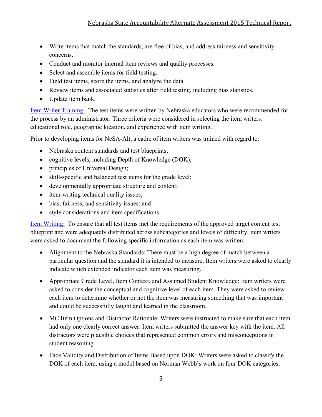- Write items that match the standards, are free of bias, and address fairness and sensitivity concerns.
- Conduct and monitor internal item reviews and quality processes.
- Select and assemble items for field testing.
- Field test items, score the items, and analyze the data.
- Review items and associated statistics after field testing, including bias statistics.
- Update item bank.

Item Writer Training: The test items were written by Nebraska educators who were recommended for the process by an administrator. Three criteria were considered in selecting the item writers: educational role, geographic location, and experience with item writing.

Prior to developing items for NeSA-Alt, a cadre of item writers was trained with regard to:

- Nebraska content standards and test blueprints;
- cognitive levels, including Depth of Knowledge (DOK);
- principles of Universal Design;
- skill-specific and balanced test items for the grade level;
- developmentally appropriate structure and content;
- item-writing technical quality issues;
- bias, fairness, and sensitivity issues; and
- style considerations and item specifications.

Item Writing: To ensure that all test items met the requirements of the approved target content test blueprint and were adequately distributed across subcategories and levels of difficulty, item writers were asked to document the following specific information as each item was written:

- Alignment to the Nebraska Standards: There must be a high degree of match between a particular question and the standard it is intended to measure. Item writers were asked to clearly indicate which extended indicator each item was measuring.
- Appropriate Grade Level, Item Context, and Assumed Student Knowledge: Item writers were asked to consider the conceptual and cognitive level of each item. They were asked to review each item to determine whether or not the item was measuring something that was important and could be successfully taught and learned in the classroom.
- MC Item Options and Distractor Rationale: Writers were instructed to make sure that each item had only one clearly correct answer. Item writers submitted the answer key with the item. All distractors were plausible choices that represented common errors and misconceptions in student reasoning.
- Face Validity and Distribution of Items Based upon DOK: Writers were asked to classify the DOK of each item, using a model based on Norman Webb's work on four DOK categories: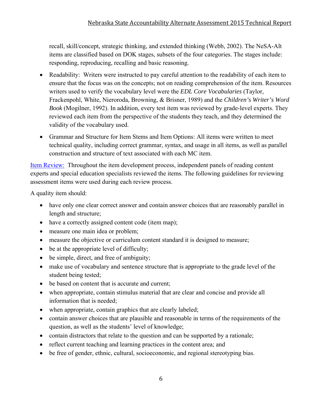recall, skill/concept, strategic thinking, and extended thinking (Webb, 2002). The NeSA-Alt items are classified based on DOK stages, subsets of the four categories. The stages include: responding, reproducing, recalling and basic reasoning.

- Readability: Writers were instructed to pay careful attention to the readability of each item to ensure that the focus was on the concepts; not on reading comprehension of the item. Resources writers used to verify the vocabulary level were the *EDL Core Vocabularies* (Taylor, Frackenpohl, White, Nieroroda, Browning, & Brisner, 1989) and the *Children's Writer's Word Book* (Mogilner, 1992). In addition, every test item was reviewed by grade-level experts. They reviewed each item from the perspective of the students they teach, and they determined the validity of the vocabulary used.
- Grammar and Structure for Item Stems and Item Options: All items were written to meet technical quality, including correct grammar, syntax, and usage in all items, as well as parallel construction and structure of text associated with each MC item.

Item Review: Throughout the item development process, independent panels of reading content experts and special education specialists reviewed the items. The following guidelines for reviewing assessment items were used during each review process.

A quality item should:

- have only one clear correct answer and contain answer choices that are reasonably parallel in length and structure;
- have a correctly assigned content code (item map);
- measure one main idea or problem;
- measure the objective or curriculum content standard it is designed to measure;
- be at the appropriate level of difficulty;
- be simple, direct, and free of ambiguity;
- make use of vocabulary and sentence structure that is appropriate to the grade level of the student being tested;
- be based on content that is accurate and current;
- when appropriate, contain stimulus material that are clear and concise and provide all information that is needed;
- when appropriate, contain graphics that are clearly labeled;
- contain answer choices that are plausible and reasonable in terms of the requirements of the question, as well as the students' level of knowledge;
- contain distractors that relate to the question and can be supported by a rationale;
- reflect current teaching and learning practices in the content area; and
- be free of gender, ethnic, cultural, socioeconomic, and regional stereotyping bias.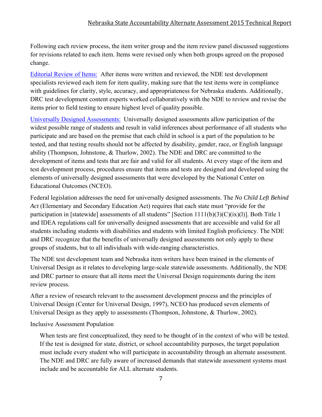#### Nebraska State Accountability Alternate Assessment 2015 Technical Report

Following each review process, the item writer group and the item review panel discussed suggestions for revisions related to each item. Items were revised only when both groups agreed on the proposed change.

Editorial Review of Items: After items were written and reviewed, the NDE test development specialists reviewed each item for item quality, making sure that the test items were in compliance with guidelines for clarity, style, accuracy, and appropriateness for Nebraska students. Additionally, DRC test development content experts worked collaboratively with the NDE to review and revise the items prior to field testing to ensure highest level of quality possible.

Universally Designed Assessments: Universally designed assessments allow participation of the widest possible range of students and result in valid inferences about performance of all students who participate and are based on the premise that each child in school is a part of the population to be tested, and that testing results should not be affected by disability, gender, race, or English language ability (Thompson, Johnstone, & Thurlow, 2002). The NDE and DRC are committed to the development of items and tests that are fair and valid for all students. At every stage of the item and test development process, procedures ensure that items and tests are designed and developed using the elements of universally designed assessments that were developed by the National Center on Educational Outcomes (NCEO).

Federal legislation addresses the need for universally designed assessments. The *No Child Left Behind Act* (Elementary and Secondary Education Act) requires that each state must "provide for the participation in [statewide] assessments of all students" [Section 1111(b)(3)(C)(ix)(l)]. Both Title 1 and IDEA regulations call for universally designed assessments that are accessible and valid for all students including students with disabilities and students with limited English proficiency. The NDE and DRC recognize that the benefits of universally designed assessments not only apply to these groups of students, but to all individuals with wide-ranging characteristics.

The NDE test development team and Nebraska item writers have been trained in the elements of Universal Design as it relates to developing large-scale statewide assessments. Additionally, the NDE and DRC partner to ensure that all items meet the Universal Design requirements during the item review process.

After a review of research relevant to the assessment development process and the principles of Universal Design (Center for Universal Design, 1997), NCEO has produced seven elements of Universal Design as they apply to assessments (Thompson, Johnstone, & Thurlow, 2002).

Inclusive Assessment Population

When tests are first conceptualized, they need to be thought of in the context of who will be tested. If the test is designed for state, district, or school accountability purposes, the target population must include every student who will participate in accountability through an alternate assessment. The NDE and DRC are fully aware of increased demands that statewide assessment systems must include and be accountable for ALL alternate students.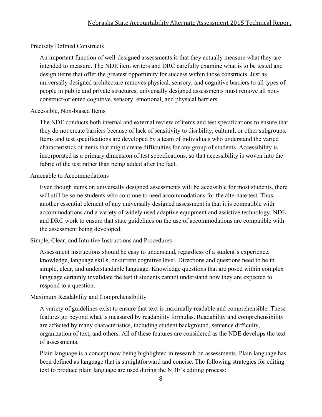#### Precisely Defined Constructs

An important function of well-designed assessments is that they actually measure what they are intended to measure. The NDE item writers and DRC carefully examine what is to be tested and design items that offer the greatest opportunity for success within those constructs. Just as universally designed architecture removes physical, sensory, and cognitive barriers to all types of people in public and private structures, universally designed assessments must remove all nonconstruct-oriented cognitive, sensory, emotional, and physical barriers.

#### Accessible, Non-biased Items

The NDE conducts both internal and external review of items and test specifications to ensure that they do not create barriers because of lack of sensitivity to disability, cultural, or other subgroups. Items and test specifications are developed by a team of individuals who understand the varied characteristics of items that might create difficulties for any group of students. Accessibility is incorporated as a primary dimension of test specifications, so that accessibility is woven into the fabric of the test rather than being added after the fact.

#### Amenable to Accommodations

Even though items on universally designed assessments will be accessible for most students, there will still be some students who continue to need accommodations for the alternate test. Thus, another essential element of any universally designed assessment is that it is compatible with accommodations and a variety of widely used adaptive equipment and assistive technology. NDE and DRC work to ensure that state guidelines on the use of accommodations are compatible with the assessment being developed.

#### Simple, Clear, and Intuitive Instructions and Procedures

Assessment instructions should be easy to understand, regardless of a student's experience, knowledge, language skills, or current cognitive level. Directions and questions need to be in simple, clear, and understandable language. Knowledge questions that are posed within complex language certainly invalidate the test if students cannot understand how they are expected to respond to a question.

#### Maximum Readability and Comprehensibility

A variety of guidelines exist to ensure that text is maximally readable and comprehensible. These features go beyond what is measured by readability formulas. Readability and comprehensibility are affected by many characteristics, including student background, sentence difficulty, organization of text, and others. All of these features are considered as the NDE develops the text of assessments.

Plain language is a concept now being highlighted in research on assessments. Plain language has been defined as language that is straightforward and concise. The following strategies for editing text to produce plain language are used during the NDE's editing process: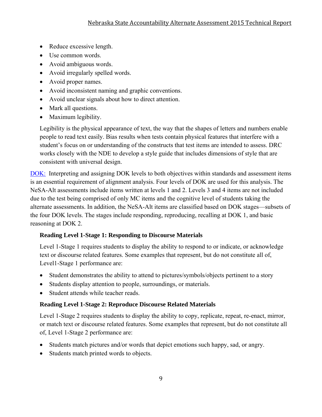- Reduce excessive length.
- Use common words.
- Avoid ambiguous words.
- Avoid irregularly spelled words.
- Avoid proper names.
- Avoid inconsistent naming and graphic conventions.
- Avoid unclear signals about how to direct attention.
- Mark all questions.
- Maximum legibility.

Legibility is the physical appearance of text, the way that the shapes of letters and numbers enable people to read text easily. Bias results when tests contain physical features that interfere with a student's focus on or understanding of the constructs that test items are intended to assess. DRC works closely with the NDE to develop a style guide that includes dimensions of style that are consistent with universal design.

DOK: Interpreting and assigning DOK levels to both objectives within standards and assessment items is an essential requirement of alignment analysis. Four levels of DOK are used for this analysis. The NeSA-Alt assessments include items written at levels 1 and 2. Levels 3 and 4 items are not included due to the test being comprised of only MC items and the cognitive level of students taking the alternate assessments. In addition, the NeSA-Alt items are classified based on DOK stages—subsets of the four DOK levels. The stages include responding, reproducing, recalling at DOK 1, and basic reasoning at DOK 2.

#### **Reading Level 1-Stage 1: Responding to Discourse Materials**

Level 1-Stage 1 requires students to display the ability to respond to or indicate, or acknowledge text or discourse related features. Some examples that represent, but do not constitute all of, Level1-Stage 1 performance are:

- Student demonstrates the ability to attend to pictures/symbols/objects pertinent to a story
- Students display attention to people, surroundings, or materials.
- Student attends while teacher reads.

#### **Reading Level 1-Stage 2: Reproduce Discourse Related Materials**

Level 1-Stage 2 requires students to display the ability to copy, replicate, repeat, re-enact, mirror, or match text or discourse related features. Some examples that represent, but do not constitute all of, Level 1-Stage 2 performance are:

- Students match pictures and/or words that depict emotions such happy, sad, or angry.
- Students match printed words to objects.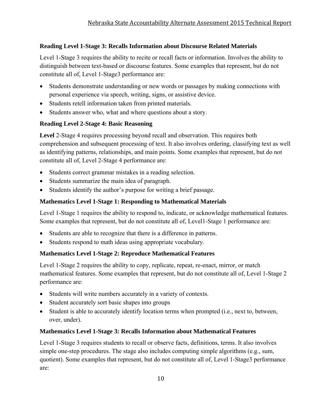### **Reading Level 1-Stage 3: Recalls Information about Discourse Related Materials**

Level 1-Stage 3 requires the ability to recite or recall facts or information. Involves the ability to distinguish between text-based or discourse features. Some examples that represent, but do not constitute all of, Level 1-Stage3 performance are:

- Students demonstrate understanding or new words or passages by making connections with personal experience via speech, writing, signs, or assistive device.
- Students retell information taken from printed materials.
- Students answer who, what and where questions about a story.

### **Reading Level 2-Stage 4: Basic Reasoning**

**Level** 2-Stage 4 requires processing beyond recall and observation. This requires both comprehension and subsequent processing of text. It also involves ordering, classifying text as well as identifying patterns, relationships, and main points. Some examples that represent, but do not constitute all of, Level 2-Stage 4 performance are:

- Students correct grammar mistakes in a reading selection.
- Students summarize the main idea of paragraph.
- Students identify the author's purpose for writing a brief passage.

### **Mathematics Level 1-Stage 1: Responding to Mathematical Materials**

Level 1-Stage 1 requires the ability to respond to, indicate, or acknowledge mathematical features. Some examples that represent, but do not constitute all of, Level1-Stage 1 performance are:

- Students are able to recognize that there is a difference in patterns.
- Students respond to math ideas using appropriate vocabulary.

### **Mathematics Level 1-Stage 2: Reproduce Mathematical Features**

Level 1-Stage 2 requires the ability to copy, replicate, repeat, re-enact, mirror, or match mathematical features. Some examples that represent, but do not constitute all of, Level 1-Stage 2 performance are:

- Students will write numbers accurately in a variety of contexts.
- Student accurately sort basic shapes into groups
- Student is able to accurately identify location terms when prompted (i.e., next to, between, over, under).

### **Mathematics Level 1-Stage 3: Recalls Information about Mathematical Features**

Level 1-Stage 3 requires students to recall or observe facts, definitions, terms. It also involves simple one-step procedures. The stage also includes computing simple algorithms (e.g., sum, quotient). Some examples that represent, but do not constitute all of, Level 1-Stage3 performance are: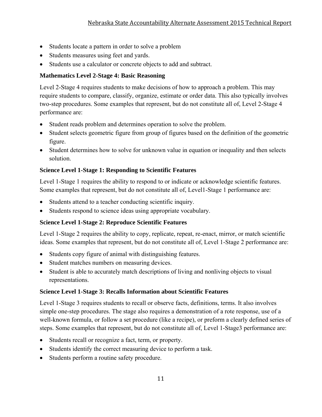- Students locate a pattern in order to solve a problem
- Students measures using feet and yards.
- Students use a calculator or concrete objects to add and subtract.

### **Mathematics Level 2-Stage 4: Basic Reasoning**

Level 2-Stage 4 requires students to make decisions of how to approach a problem. This may require students to compare, classify, organize, estimate or order data. This also typically involves two-step procedures. Some examples that represent, but do not constitute all of, Level 2-Stage 4 performance are:

- Student reads problem and determines operation to solve the problem.
- Student selects geometric figure from group of figures based on the definition of the geometric figure.
- Student determines how to solve for unknown value in equation or inequality and then selects solution.

### **Science Level 1-Stage 1: Responding to Scientific Features**

Level 1-Stage 1 requires the ability to respond to or indicate or acknowledge scientific features. Some examples that represent, but do not constitute all of, Level1-Stage 1 performance are:

- Students attend to a teacher conducting scientific inquiry.
- Students respond to science ideas using appropriate vocabulary.

### **Science Level 1-Stage 2: Reproduce Scientific Features**

Level 1-Stage 2 requires the ability to copy, replicate, repeat, re-enact, mirror, or match scientific ideas. Some examples that represent, but do not constitute all of, Level 1-Stage 2 performance are:

- Students copy figure of animal with distinguishing features.
- Student matches numbers on measuring devices.
- Student is able to accurately match descriptions of living and nonliving objects to visual representations.

#### **Science Level 1-Stage 3: Recalls Information about Scientific Features**

Level 1-Stage 3 requires students to recall or observe facts, definitions, terms. It also involves simple one-step procedures. The stage also requires a demonstration of a rote response, use of a well-known formula, or follow a set procedure (like a recipe), or preform a clearly defined series of steps. Some examples that represent, but do not constitute all of, Level 1-Stage3 performance are:

- Students recall or recognize a fact, term, or property.
- Students identify the correct measuring device to perform a task.
- Students perform a routine safety procedure.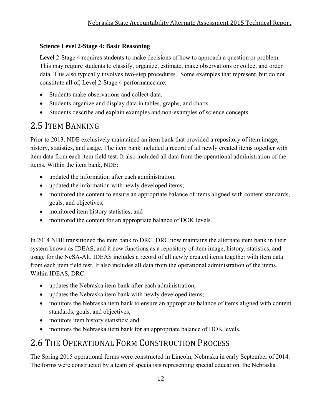### **Science Level 2-Stage 4: Basic Reasoning**

**Level** 2-Stage 4 requires students to make decisions of how to approach a question or problem. This may require students to classify, organize, estimate, make observations or collect and order data. This also typically involves two-step procedures. Some examples that represent, but do not constitute all of, Level 2-Stage 4 performance are:

- Students make observations and collect data.
- Students organize and display data in tables, graphs, and charts.
- Students describe and explain examples and non-examples of science concepts.

# 2.5 ITEM BANKING

Prior to 2013, NDE exclusively maintained an item bank that provided a repository of item image, history, statistics, and usage. The item bank included a record of all newly created items together with item data from each item field test. It also included all data from the operational administration of the items. Within the item bank, NDE:

- updated the information after each administration;
- updated the information with newly developed items;
- monitored the content to ensure an appropriate balance of items aligned with content standards, goals, and objectives;
- monitored item history statistics; and
- monitored the content for an appropriate balance of DOK levels.

In 2014 NDE transitioned the item bank to DRC. DRC now maintains the alternate item bank in their system known as IDEAS, and it now functions as a repository of item image, history, statistics, and usage for the NeSA-Alt. IDEAS includes a record of all newly created items together with item data from each item field test. It also includes all data from the operational administration of the items. Within IDEAS, DRC:

- updates the Nebraska item bank after each administration;
- updates the Nebraska item bank with newly developed items;
- monitors the Nebraska item bank to ensure an appropriate balance of items aligned with content standards, goals, and objectives;
- monitors item history statistics; and
- monitors the Nebraska item bank for an appropriate balance of DOK levels.

# 2.6 THE OPERATIONAL FORM CONSTRUCTION PROCESS

The Spring 2015 operational forms were constructed in Lincoln, Nebraska in early September of 2014. The forms were constructed by a team of specialists representing special education, the Nebraska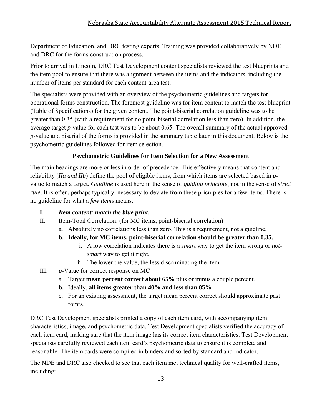Department of Education, and DRC testing experts. Training was provided collaboratively by NDE and DRC for the forms construction process.

Prior to arrival in Lincoln, DRC Test Development content specialists reviewed the test blueprints and the item pool to ensure that there was alignment between the items and the indicators, including the number of items per standard for each content-area test.

The specialists were provided with an overview of the psychometric guidelines and targets for operational forms construction. The foremost guideline was for item content to match the test blueprint (Table of Specifications) for the given content. The point-biserial correlation guideline was to be greater than 0.35 (with a requirement for no point-biserial correlation less than zero). In addition, the average target *p*-value for each test was to be about 0.65. The overall summary of the actual approved *p*-value and biserial of the forms is provided in the summary table later in this document. Below is the psychometric guidelines followed for item selection.

### **Psychometric Guidelines for Item Selection for a New Assessment**

The main headings are more or less in order of precedence. This effectively means that content and reliability (*IIa and IIb*) define the pool of eligible items, from which items are selected based in *p*value to match a target. *Guidline* is used here in the sense of *guiding principle*, not in the sense of *strict rule*. It is often, perhaps typically, necessary to deviate from these pricniples for a few items. There is no guideline for what a *few items* means.

### **I.** *Item content: match the blue print***.**

- II. Item-Total Correlation: (for MC items, point-biserial correlation)
	- a. Absolutely no correlations less than zero. This is a requirement, not a guieline.

### **b. Ideally, for MC items, point-biserial correlation should be greater than 0.35.**

- i. A low correlation indicates there is a *smart* way to get the item wrong or *notsmart* way to get it right.
- ii. The lower the value, the less discriminating the item.
- III. *p*-Value for correct response on MC
	- a. Target **mean percent correct about 65%** plus or minus a couple percent.
	- **b.** Ideally, **all items greater than 40% and less than 85%**
	- c. For an existing assessment, the target mean percent correct should approximate past fomrs.

DRC Test Development specialists printed a copy of each item card, with accompanying item characteristics, image, and psychometric data. Test Development specialists verified the accuracy of each item card, making sure that the item image has its correct item characteristics. Test Development specialists carefully reviewed each item card's psychometric data to ensure it is complete and reasonable. The item cards were compiled in binders and sorted by standard and indicator.

The NDE and DRC also checked to see that each item met technical quality for well-crafted items, including: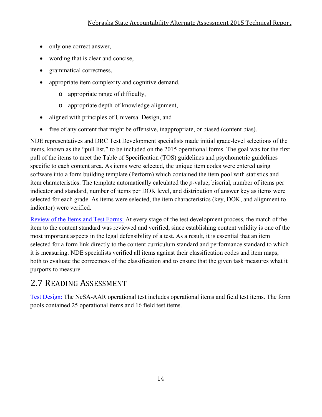- only one correct answer,
- wording that is clear and concise,
- grammatical correctness,
- appropriate item complexity and cognitive demand,
	- o appropriate range of difficulty,
	- o appropriate depth-of-knowledge alignment,
- aligned with principles of Universal Design, and
- free of any content that might be offensive, inappropriate, or biased (content bias).

NDE representatives and DRC Test Development specialists made initial grade-level selections of the items, known as the "pull list," to be included on the 2015 operational forms. The goal was for the first pull of the items to meet the Table of Specification (TOS) guidelines and psychometric guidelines specific to each content area. As items were selected, the unique item codes were entered using software into a form building template (Perform) which contained the item pool with statistics and item characteristics. The template automatically calculated the *p*-value, biserial, number of items per indicator and standard, number of items per DOK level, and distribution of answer key as items were selected for each grade. As items were selected, the item characteristics (key, DOK, and alignment to indicator) were verified.

Review of the Items and Test Forms: At every stage of the test development process, the match of the item to the content standard was reviewed and verified, since establishing content validity is one of the most important aspects in the legal defensibility of a test. As a result, it is essential that an item selected for a form link directly to the content curriculum standard and performance standard to which it is measuring. NDE specialists verified all items against their classification codes and item maps, both to evaluate the correctness of the classification and to ensure that the given task measures what it purports to measure.

# 2.7 READING ASSESSMENT

Test Design: The NeSA-AAR operational test includes operational items and field test items. The form pools contained 25 operational items and 16 field test items.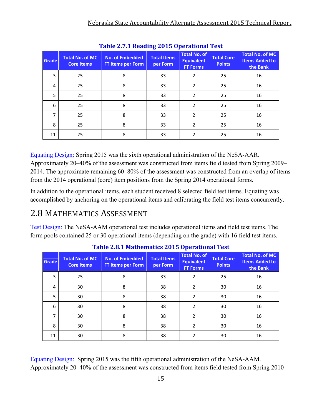| Table 2.7.1 Reading 2015 Operational Test |                                             |                                             |                                |                                                             |                                    |                                                             |  |  |  |
|-------------------------------------------|---------------------------------------------|---------------------------------------------|--------------------------------|-------------------------------------------------------------|------------------------------------|-------------------------------------------------------------|--|--|--|
| Grade                                     | <b>Total No. of MC</b><br><b>Core Items</b> | <b>No. of Embedded</b><br>FT Items per Form | <b>Total Items</b><br>per Form | <b>Total No. of</b><br><b>Equivalent</b><br><b>FT Forms</b> | <b>Total Core</b><br><b>Points</b> | <b>Total No. of MC</b><br><b>Items Added to</b><br>the Bank |  |  |  |
| 3                                         | 25                                          | 8                                           | 33                             | $\overline{2}$                                              | 25                                 | 16                                                          |  |  |  |
| 4                                         | 25                                          | 8                                           | 33                             | $\overline{2}$                                              | 25                                 | 16                                                          |  |  |  |
| 5                                         | 25                                          | 8                                           | 33                             | $\overline{2}$                                              | 25                                 | 16                                                          |  |  |  |
| 6                                         | 25                                          | 8                                           | 33                             | $\overline{2}$                                              | 25                                 | 16                                                          |  |  |  |
| 7                                         | 25                                          | 8                                           | 33                             | $\overline{2}$                                              | 25                                 | 16                                                          |  |  |  |
| 8                                         | 25                                          | 8                                           | 33                             | $\overline{2}$                                              | 25                                 | 16                                                          |  |  |  |
| 11                                        | 25                                          | 8                                           | 33                             | 2                                                           | 25                                 | 16                                                          |  |  |  |

**Table 2.7.1 Reading 2015 Operational Test**

Equating Design: Spring 2015 was the sixth operational administration of the NeSA-AAR. Approximately 20–40% of the assessment was constructed from items field tested from Spring 2009– 2014. The approximate remaining 60–80% of the assessment was constructed from an overlap of items from the 2014 operational (core) item positions from the Spring 2014 operational forms.

In addition to the operational items, each student received 8 selected field test items. Equating was accomplished by anchoring on the operational items and calibrating the field test items concurrently.

# 2.8 MATHEMATICS ASSESSMENT

Test Design: The NeSA-AAM operational test includes operational items and field test items. The form pools contained 25 or 30 operational items (depending on the grade) with 16 field test items.

| <b>Grade</b> | <b>Total No. of MC</b><br><b>Core Items</b> | <b>No. of Embedded</b><br><b>FT Items per Form</b> | <b>Total Items</b><br>per Form | Total No. of<br><b>Equivalent</b><br><b>FT Forms</b> | <b>Total Core</b><br><b>Points</b> | <b>Total No. of MC</b><br><b>Items Added to</b><br>the Bank |
|--------------|---------------------------------------------|----------------------------------------------------|--------------------------------|------------------------------------------------------|------------------------------------|-------------------------------------------------------------|
| 3            | 25                                          | 8                                                  | 33                             | 2                                                    | 25                                 | 16                                                          |
| 4            | 30                                          | 8                                                  | 38                             | $\overline{2}$                                       | 30                                 | 16                                                          |
| 5            | 30                                          | 8                                                  | 38                             | $\overline{2}$                                       | 30                                 | 16                                                          |
| 6            | 30                                          | 8                                                  | 38                             | $\overline{2}$                                       | 30                                 | 16                                                          |
| 7            | 30                                          | 8                                                  | 38                             | $\overline{2}$                                       | 30                                 | 16                                                          |
| 8            | 30                                          | 8                                                  | 38                             | $\overline{2}$                                       | 30                                 | 16                                                          |
| 11           | 30                                          | 8                                                  | 38                             | $\overline{2}$                                       | 30                                 | 16                                                          |

**Table 2.8.1 Mathematics 2015 Operational Test**

Equating Design: Spring 2015 was the fifth operational administration of the NeSA-AAM. Approximately 20–40% of the assessment was constructed from items field tested from Spring 2010–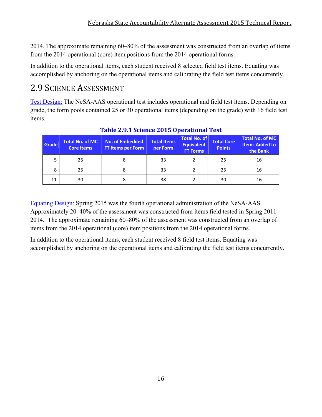2014. The approximate remaining 60–80% of the assessment was constructed from an overlap of items from the 2014 operational (core) item positions from the 2014 operational forms.

In addition to the operational items, each student received 8 selected field test items. Equating was accomplished by anchoring on the operational items and calibrating the field test items concurrently.

# 2.9 SCIENCE ASSESSMENT

Test Design: The NeSA-AAS operational test includes operational and field test items. Depending on grade, the form pools contained 25 or 30 operational items (depending on the grade) with 16 field test items.

| Grade | <b>Total No. of MC</b><br><b>Core Items</b> | <b>No. of Embedded</b><br><b>FT Items per Form</b> | <b>Total Items</b><br>per Form | <b>Total No. of</b><br><b>Equivalent</b><br><b>FT Forms</b> | <b>Total Core</b><br><b>Points</b> | <b>Total No. of MC</b><br><b>Items Added to</b><br>the Bank |
|-------|---------------------------------------------|----------------------------------------------------|--------------------------------|-------------------------------------------------------------|------------------------------------|-------------------------------------------------------------|
|       | 25                                          | 8                                                  | 33                             |                                                             | 25                                 | 16                                                          |
| 8     | 25                                          | 8                                                  | 33                             |                                                             | 25                                 | 16                                                          |
| 11    | 30                                          |                                                    | 38                             |                                                             | 30                                 | 16                                                          |

### **Table 2.9.1 Science 2015 Operational Test**

Equating Design: Spring 2015 was the fourth operational administration of the NeSA-AAS. Approximately 20–40% of the assessment was constructed from items field tested in Spring 2011– 2014. The approximate remaining 60–80% of the assessment was constructed from an overlap of items from the 2014 operational (core) item positions from the 2014 operational forms.

In addition to the operational items, each student received 8 field test items. Equating was accomplished by anchoring on the operational items and calibrating the field test items concurrently.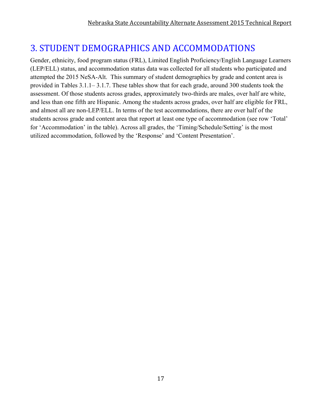# 3. STUDENT DEMOGRAPHICS AND ACCOMMODATIONS

Gender, ethnicity, food program status (FRL), Limited English Proficiency/English Language Learners (LEP/ELL) status, and accommodation status data was collected for all students who participated and attempted the 2015 NeSA-Alt. This summary of student demographics by grade and content area is provided in Tables 3.1.1– 3.1.7. These tables show that for each grade, around 300 students took the assessment. Of those students across grades, approximately two-thirds are males, over half are white, and less than one fifth are Hispanic. Among the students across grades, over half are eligible for FRL, and almost all are non-LEP/ELL. In terms of the test accommodations, there are over half of the students across grade and content area that report at least one type of accommodation (see row 'Total' for 'Accommodation' in the table). Across all grades, the 'Timing/Schedule/Setting' is the most utilized accommodation, followed by the 'Response' and 'Content Presentation'.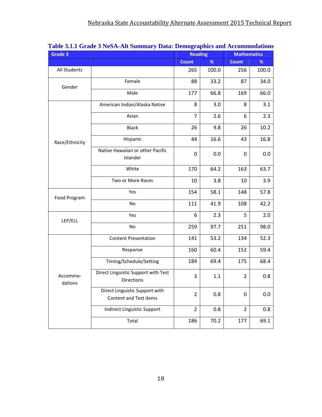| Grade 3             | $\sum_{i=1}^{n}$                                         | <b>Dami Demograpmes and recommodation</b><br><b>Reading</b> |       | <b>Mathematics</b> |       |
|---------------------|----------------------------------------------------------|-------------------------------------------------------------|-------|--------------------|-------|
|                     |                                                          | <b>Count</b>                                                | %     | <b>Count</b>       | %     |
| All Students        |                                                          | 265                                                         | 100.0 | 256                | 100.0 |
| Gender              | Female                                                   | 88                                                          | 33.2  | 87                 | 34.0  |
|                     | Male                                                     | 177                                                         | 66.8  | 169                | 66.0  |
|                     | American Indian/Alaska Native                            | 8                                                           | 3.0   | 8                  | 3.1   |
|                     | Asian                                                    | $\overline{7}$                                              | 2.6   | 6                  | 2.3   |
|                     | <b>Black</b>                                             | 26                                                          | 9.8   | 26                 | 10.2  |
| Race/Ethnicity      | Hispanic                                                 | 44                                                          | 16.6  | 43                 | 16.8  |
|                     | Native Hawaiian or other Pacific<br>Islander             | 0                                                           | 0.0   | 0                  | 0.0   |
|                     | White                                                    | 170                                                         | 64.2  | 163                | 63.7  |
|                     | Two or More Races                                        | 10                                                          | 3.8   | 10                 | 3.9   |
| Food Program        | Yes                                                      | 154                                                         | 58.1  | 148                | 57.8  |
|                     | No                                                       | 111                                                         | 41.9  | 108                | 42.2  |
| LEP/ELL             | Yes                                                      | 6                                                           | 2.3   | 5                  | 2.0   |
|                     | No                                                       | 259                                                         | 97.7  | 251                | 98.0  |
|                     | <b>Content Presentation</b>                              | 141                                                         | 53.2  | 134                | 52.3  |
|                     | Response                                                 | 160                                                         | 60.4  | 152                | 59.4  |
|                     | Timing/Schedule/Setting                                  | 184                                                         | 69.4  | 175                | 68.4  |
| Accommo-<br>dations | Direct Linguistic Support with Test<br><b>Directions</b> | 3                                                           | 1.1   | $\overline{2}$     | 0.8   |
|                     | Direct Linguistic Support with<br>Content and Test items | $\overline{2}$                                              | 0.8   | 0                  | 0.0   |
|                     | Indirect Linguistic Support                              | $\overline{2}$                                              | 0.8   | $\overline{2}$     | 0.8   |
|                     | Total                                                    | 186                                                         | 70.2  | 177                | 69.1  |

|  | Table 3.1.1 Grade 3 NeSA-Alt Summary Data: Demographics and Accommodations |  |  |  |
|--|----------------------------------------------------------------------------|--|--|--|
|--|----------------------------------------------------------------------------|--|--|--|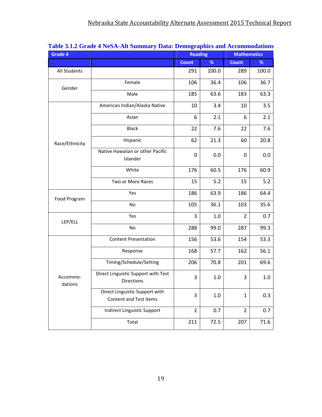| Grade 4             |                                                          | <b>Reading</b> |       | <b>Mathematics</b> |       |
|---------------------|----------------------------------------------------------|----------------|-------|--------------------|-------|
|                     |                                                          | <b>Count</b>   | %     | <b>Count</b>       | %     |
| All Students        |                                                          | 291            | 100.0 | 289                | 100.0 |
| Gender              | Female                                                   | 106            | 36.4  | 106                | 36.7  |
|                     | Male                                                     | 185            | 63.6  | 183                | 63.3  |
|                     | American Indian/Alaska Native                            | 10             | 3.4   | 10                 | 3.5   |
|                     | Asian                                                    | 6              | 2.1   | 6                  | 2.1   |
|                     | <b>Black</b>                                             | 22             | 7.6   | 22                 | 7.6   |
| Race/Ethnicity      | Hispanic                                                 | 62             | 21.3  | 60                 | 20.8  |
|                     | Native Hawaiian or other Pacific<br>Islander             | 0              | 0.0   | 0                  | 0.0   |
|                     | White                                                    | 176            | 60.5  | 176                | 60.9  |
|                     | Two or More Races                                        | 15             | 5.2   | 15                 | 5.2   |
| Food Program        | Yes                                                      | 186            | 63.9  | 186                | 64.4  |
|                     | No                                                       | 105            | 36.1  | 103                | 35.6  |
| LEP/ELL             | Yes                                                      | 3              | 1.0   | $\overline{2}$     | 0.7   |
|                     | No                                                       | 288            | 99.0  | 287                | 99.3  |
|                     | <b>Content Presentation</b>                              | 156            | 53.6  | 154                | 53.3  |
|                     | Response                                                 | 168            | 57.7  | 162                | 56.1  |
|                     | Timing/Schedule/Setting                                  | 206            | 70.8  | 201                | 69.6  |
| Accommo-<br>dations | Direct Linguistic Support with Test<br>Directions        | 3              | 1.0   | 3                  | 1.0   |
|                     | Direct Linguistic Support with<br>Content and Test items | 3              | 1.0   | $\mathbf{1}$       | 0.3   |
|                     | Indirect Linguistic Support                              | $\overline{2}$ | 0.7   | $\overline{2}$     | 0.7   |
|                     | Total                                                    | 211            | 72.5  | 207                | 71.6  |

#### **Table 3.1.2 Grade 4 NeSA-Alt Summary Data: Demographics and Accommodations**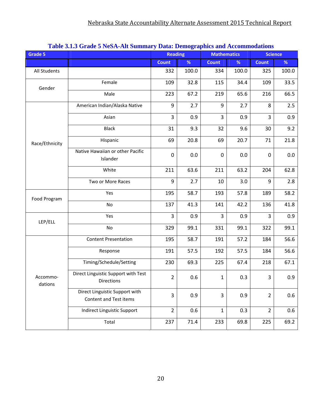| Grade 5             | <u>radic 9.1.9 Grade 9 Flost-All buillingry Data. Demographics and Accommodations</u> | <b>Reading</b> |       | <b>Mathematics</b> |       | <b>Science</b> |       |
|---------------------|---------------------------------------------------------------------------------------|----------------|-------|--------------------|-------|----------------|-------|
|                     |                                                                                       | <b>Count</b>   | $\%$  | <b>Count</b>       | %     | <b>Count</b>   | $\%$  |
| All Students        |                                                                                       | 332            | 100.0 | 334                | 100.0 | 325            | 100.0 |
| Gender              | Female                                                                                | 109            | 32.8  | 115                | 34.4  | 109            | 33.5  |
|                     | Male                                                                                  | 223            | 67.2  | 219                | 65.6  | 216            | 66.5  |
|                     | American Indian/Alaska Native                                                         | 9              | 2.7   | 9                  | 2.7   | 8              | 2.5   |
|                     | Asian                                                                                 | 3              | 0.9   | $\overline{3}$     | 0.9   | 3              | 0.9   |
|                     | <b>Black</b>                                                                          | 31             | 9.3   | 32                 | 9.6   | 30             | 9.2   |
| Race/Ethnicity      | Hispanic                                                                              | 69             | 20.8  | 69                 | 20.7  | 71             | 21.8  |
|                     | Native Hawaiian or other Pacific<br>Islander                                          | 0              | 0.0   | $\mathbf 0$        | 0.0   | 0              | 0.0   |
|                     | White                                                                                 | 211            | 63.6  | 211                | 63.2  | 204            | 62.8  |
|                     | Two or More Races                                                                     | 9              | 2.7   | 10                 | 3.0   | 9              | 2.8   |
| Food Program        | Yes                                                                                   | 195            | 58.7  | 193                | 57.8  | 189            | 58.2  |
|                     | No                                                                                    | 137            | 41.3  | 141                | 42.2  | 136            | 41.8  |
| LEP/ELL             | Yes                                                                                   | 3              | 0.9   | $\overline{3}$     | 0.9   | 3              | 0.9   |
|                     | No                                                                                    | 329            | 99.1  | 331                | 99.1  | 322            | 99.1  |
|                     | <b>Content Presentation</b>                                                           | 195            | 58.7  | 191                | 57.2  | 184            | 56.6  |
|                     | Response                                                                              | 191            | 57.5  | 192                | 57.5  | 184            | 56.6  |
|                     | Timing/Schedule/Setting                                                               | 230            | 69.3  | 225                | 67.4  | 218            | 67.1  |
| Accommo-<br>dations | Direct Linguistic Support with Test<br>Directions                                     | $\overline{2}$ | 0.6   | $\mathbf{1}$       | 0.3   | 3              | 0.9   |
|                     | Direct Linguistic Support with<br>Content and Test items                              | 3              | 0.9   | 3                  | 0.9   | $\overline{2}$ | 0.6   |
|                     | Indirect Linguistic Support                                                           | $\overline{2}$ | 0.6   | $\mathbf{1}$       | 0.3   | $\overline{2}$ | 0.6   |
|                     | Total                                                                                 | 237            | 71.4  | 233                | 69.8  | 225            | 69.2  |

#### **Table 3.1.3 Grade 5 NeSA-Alt Summary Data: Demographics and Accommodations**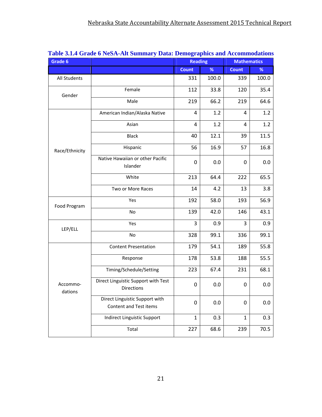| Grade 6             | таже этот отаце о годи тип данним у Data. Demographies and recommodations |                | <b>Reading</b> | <b>Mathematics</b> |       |
|---------------------|---------------------------------------------------------------------------|----------------|----------------|--------------------|-------|
|                     |                                                                           | <b>Count</b>   | %              | <b>Count</b>       | %     |
| All Students        |                                                                           | 331            | 100.0          | 339                | 100.0 |
| Gender              | Female                                                                    | 112            | 33.8           | 120                | 35.4  |
|                     | Male                                                                      | 219            | 66.2           | 219                | 64.6  |
|                     | American Indian/Alaska Native                                             | $\overline{4}$ | 1.2            | 4                  | 1.2   |
|                     | Asian                                                                     | 4              | 1.2            | 4                  | 1.2   |
|                     | <b>Black</b>                                                              | 40             | 12.1           | 39                 | 11.5  |
| Race/Ethnicity      | Hispanic                                                                  | 56             | 16.9           | 57                 | 16.8  |
|                     | Native Hawaiian or other Pacific<br>Islander                              | 0              | 0.0            | 0                  | 0.0   |
|                     | White                                                                     | 213            | 64.4           | 222                | 65.5  |
|                     | Two or More Races                                                         | 14             | 4.2            | 13                 | 3.8   |
| Food Program        | Yes                                                                       | 192            | 58.0           | 193                | 56.9  |
|                     | No                                                                        | 139            | 42.0           | 146                | 43.1  |
| LEP/ELL             | Yes                                                                       | 3              | 0.9            | 3                  | 0.9   |
|                     | No                                                                        | 328            | 99.1           | 336                | 99.1  |
|                     | <b>Content Presentation</b>                                               | 179            | 54.1           | 189                | 55.8  |
|                     | Response                                                                  | 178            | 53.8           | 188                | 55.5  |
|                     | Timing/Schedule/Setting                                                   | 223            | 67.4           | 231                | 68.1  |
| Accommo-<br>dations | Direct Linguistic Support with Test<br><b>Directions</b>                  | 0              | 0.0            | 0                  | 0.0   |
|                     | Direct Linguistic Support with<br>Content and Test items                  | 0              | 0.0            | 0                  | 0.0   |
|                     | Indirect Linguistic Support                                               | $\mathbf{1}$   | 0.3            | $\mathbf{1}$       | 0.3   |
|                     | Total                                                                     | 227            | 68.6           | 239                | 70.5  |

### **Table 3.1.4 Grade 6 NeSA-Alt Summary Data: Demographics and Accommodations**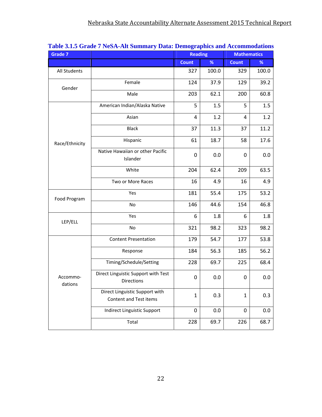| Grade 7             |                                                          | <b>Reading</b> |       | <b>Mathematics</b> |       |
|---------------------|----------------------------------------------------------|----------------|-------|--------------------|-------|
|                     |                                                          | <b>Count</b>   | %     | <b>Count</b>       | %     |
| All Students        |                                                          | 327            | 100.0 | 329                | 100.0 |
| Gender              | Female                                                   | 124            | 37.9  | 129                | 39.2  |
|                     | Male                                                     | 203            | 62.1  | 200                | 60.8  |
|                     | American Indian/Alaska Native                            | 5              | 1.5   | 5                  | 1.5   |
|                     | Asian                                                    | $\overline{4}$ | 1.2   | $\overline{4}$     | 1.2   |
|                     | <b>Black</b>                                             | 37             | 11.3  | 37                 | 11.2  |
| Race/Ethnicity      | Hispanic                                                 | 61             | 18.7  | 58                 | 17.6  |
|                     | Native Hawaiian or other Pacific<br>Islander             | 0              | 0.0   | 0                  | 0.0   |
|                     | White                                                    | 204            | 62.4  | 209                | 63.5  |
|                     | Two or More Races                                        | 16             | 4.9   | 16                 | 4.9   |
| Food Program        | Yes                                                      | 181            | 55.4  | 175                | 53.2  |
|                     | No                                                       | 146            | 44.6  | 154                | 46.8  |
| LEP/ELL             | Yes                                                      | 6              | 1.8   | 6                  | 1.8   |
|                     | No                                                       | 321            | 98.2  | 323                | 98.2  |
|                     | <b>Content Presentation</b>                              | 179            | 54.7  | 177                | 53.8  |
|                     | Response                                                 | 184            | 56.3  | 185                | 56.2  |
|                     | Timing/Schedule/Setting                                  | 228            | 69.7  | 225                | 68.4  |
| Accommo-<br>dations | Direct Linguistic Support with Test<br><b>Directions</b> | 0              | 0.0   | 0                  | 0.0   |
|                     | Direct Linguistic Support with<br>Content and Test items | $\mathbf{1}$   | 0.3   | $\mathbf{1}$       | 0.3   |
|                     | Indirect Linguistic Support                              | 0              | 0.0   | 0                  | 0.0   |
|                     | Total                                                    | 228            | 69.7  | 226                | 68.7  |

### **Table 3.1.5 Grade 7 NeSA-Alt Summary Data: Demographics and Accommodations**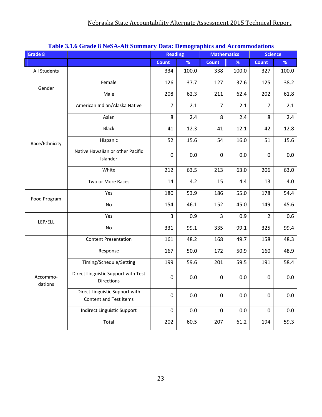| Grade 8             | rabic stro Grade o Nebix ini bummur y Duta. Demographics and incommodations | <b>Reading</b> |       | <b>Mathematics</b> |         | <b>Science</b> |       |
|---------------------|-----------------------------------------------------------------------------|----------------|-------|--------------------|---------|----------------|-------|
|                     |                                                                             | <b>Count</b>   | %     | <b>Count</b>       | %       | <b>Count</b>   | %     |
| All Students        |                                                                             | 334            | 100.0 | 338                | 100.0   | 327            | 100.0 |
| Gender              | Female                                                                      | 126            | 37.7  | 127                | 37.6    | 125            | 38.2  |
|                     | Male                                                                        | 208            | 62.3  | 211                | 62.4    | 202            | 61.8  |
|                     | American Indian/Alaska Native                                               | $\overline{7}$ | 2.1   | $\overline{7}$     | 2.1     | $\overline{7}$ | 2.1   |
|                     | Asian                                                                       | 8              | 2.4   | 8                  | 2.4     | 8              | 2.4   |
|                     | <b>Black</b>                                                                | 41             | 12.3  | 41                 | 12.1    | 42             | 12.8  |
| Race/Ethnicity      | Hispanic                                                                    | 52             | 15.6  | 54                 | 16.0    | 51             | 15.6  |
|                     | Native Hawaiian or other Pacific<br>Islander                                | $\mathbf 0$    | 0.0   | $\mathbf 0$        | 0.0     | $\mathbf 0$    | 0.0   |
|                     | White                                                                       | 212            | 63.5  | 213                | 63.0    | 206            | 63.0  |
|                     | Two or More Races                                                           | 14             | 4.2   | 15                 | 4.4     | 13             | 4.0   |
| Food Program        | Yes                                                                         | 180            | 53.9  | 186                | 55.0    | 178            | 54.4  |
|                     | No                                                                          | 154            | 46.1  | 152                | 45.0    | 149            | 45.6  |
| LEP/ELL             | Yes                                                                         | 3              | 0.9   | 3                  | 0.9     | $\overline{2}$ | 0.6   |
|                     | No                                                                          | 331            | 99.1  | 335                | 99.1    | 325            | 99.4  |
|                     | <b>Content Presentation</b>                                                 | 161            | 48.2  | 168                | 49.7    | 158            | 48.3  |
|                     | Response                                                                    | 167            | 50.0  | 172                | 50.9    | 160            | 48.9  |
|                     | Timing/Schedule/Setting                                                     | 199            | 59.6  | 201                | 59.5    | 191            | 58.4  |
| Accommo-<br>dations | Direct Linguistic Support with Test<br><b>Directions</b>                    | $\mathbf 0$    | 0.0   | 0                  | 0.0     | 0              | 0.0   |
|                     | Direct Linguistic Support with<br>Content and Test items                    | $\mathbf 0$    | 0.0   | 0                  | 0.0     | $\pmb{0}$      | 0.0   |
|                     | Indirect Linguistic Support                                                 | $\mathbf 0$    | 0.0   | 0                  | $0.0\,$ | $\mathbf 0$    | 0.0   |
|                     | Total                                                                       | 202            | 60.5  | 207                | 61.2    | 194            | 59.3  |

#### **Table 3.1.6 Grade 8 NeSA-Alt Summary Data: Demographics and Accommodations**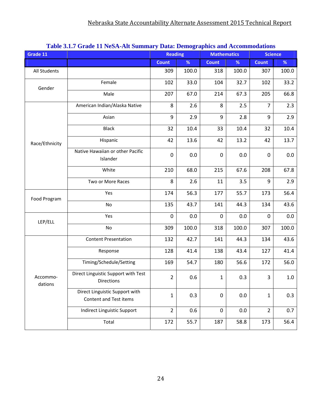| Grade 11            | <u>radio dell'Orago II i fodi -Tili dummary Data. Domographics and ficcommodations</u> | <b>Reading</b>   |       | <b>Mathematics</b> |       |                | <b>Science</b> |
|---------------------|----------------------------------------------------------------------------------------|------------------|-------|--------------------|-------|----------------|----------------|
|                     |                                                                                        | <b>Count</b>     | %     | <b>Count</b>       | %     | <b>Count</b>   | %              |
| All Students        |                                                                                        | 309              | 100.0 | 318                | 100.0 | 307            | 100.0          |
| Gender              | Female                                                                                 | 102              | 33.0  | 104                | 32.7  | 102            | 33.2           |
|                     | Male                                                                                   | 207              | 67.0  | 214                | 67.3  | 205            | 66.8           |
|                     | American Indian/Alaska Native                                                          | 8                | 2.6   | 8                  | 2.5   | $\overline{7}$ | 2.3            |
|                     | Asian                                                                                  | $\boldsymbol{9}$ | 2.9   | 9                  | 2.8   | 9              | 2.9            |
|                     | <b>Black</b>                                                                           | 32               | 10.4  | 33                 | 10.4  | 32             | 10.4           |
| Race/Ethnicity      | Hispanic                                                                               | 42               | 13.6  | 42                 | 13.2  | 42             | 13.7           |
|                     | Native Hawaiian or other Pacific<br>Islander                                           | $\mathbf 0$      | 0.0   | $\mathbf 0$        | 0.0   | $\mathbf 0$    | 0.0            |
|                     | White                                                                                  | 210              | 68.0  | 215                | 67.6  | 208            | 67.8           |
|                     | Two or More Races                                                                      | 8                | 2.6   | 11                 | 3.5   | 9              | 2.9            |
| Food Program        | Yes                                                                                    | 174              | 56.3  | 177                | 55.7  | 173            | 56.4           |
|                     | No                                                                                     | 135              | 43.7  | 141                | 44.3  | 134            | 43.6           |
| LEP/ELL             | Yes                                                                                    | $\mathbf 0$      | 0.0   | $\mathbf 0$        | 0.0   | $\mathbf 0$    | 0.0            |
|                     | No                                                                                     | 309              | 100.0 | 318                | 100.0 | 307            | 100.0          |
|                     | <b>Content Presentation</b>                                                            | 132              | 42.7  | 141                | 44.3  | 134            | 43.6           |
|                     | Response                                                                               | 128              | 41.4  | 138                | 43.4  | 127            | 41.4           |
|                     | Timing/Schedule/Setting                                                                | 169              | 54.7  | 180                | 56.6  | 172            | 56.0           |
| Accommo-<br>dations | Direct Linguistic Support with Test<br><b>Directions</b>                               | $\overline{2}$   | 0.6   | $\mathbf{1}$       | 0.3   | 3              | $1.0\,$        |
|                     | Direct Linguistic Support with<br>Content and Test items                               | $\mathbf 1$      | 0.3   | $\pmb{0}$          | 0.0   | $\mathbf{1}$   | 0.3            |
|                     | Indirect Linguistic Support                                                            | $\overline{2}$   | 0.6   | 0                  | 0.0   | $\overline{2}$ | 0.7            |
|                     | Total                                                                                  | 172              | 55.7  | 187                | 58.8  | 173            | 56.4           |

#### **Table 3.1.7 Grade 11 NeSA-Alt Summary Data: Demographics and Accommodations**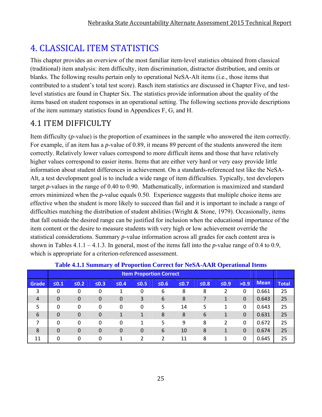# 4. CLASSICAL ITEM STATISTICS

This chapter provides an overview of the most familiar item-level statistics obtained from classical (traditional) item analysis: item difficulty, item discrimination, distractor distribution, and omits or blanks. The following results pertain only to operational NeSA-Alt items (i.e., those items that contributed to a student's total test score). Rasch item statistics are discussed in Chapter Five, and testlevel statistics are found in Chapter Six. The statistics provide information about the quality of the items based on student responses in an operational setting. The following sections provide descriptions of the item summary statistics found in Appendices F, G, and H.

# 4.1 ITEM DIFFICULTY

Item difficulty (*p*-value) is the proportion of examinees in the sample who answered the item correctly. For example, if an item has a *p*-value of 0.89, it means 89 percent of the students answered the item correctly. Relatively lower values correspond to more difficult items and those that have relatively higher values correspond to easier items. Items that are either very hard or very easy provide little information about student differences in achievement. On a standards-referenced test like the NeSA-Alt, a test development goal is to include a wide range of item difficulties. Typically, test developers target *p*-values in the range of 0.40 to 0.90. Mathematically, information is maximized and standard errors minimized when the *p*-value equals 0.50. Experience suggests that multiple choice items are effective when the student is more likely to succeed than fail and it is important to include a range of difficulties matching the distribution of student abilities (Wright & Stone, 1979). Occasionally, items that fall outside the desired range can be justified for inclusion when the educational importance of the item content or the desire to measure students with very high or low achievement override the statistical considerations. Summary *p*-value information across all grades for each content area is shown in Tables 4.1.1 – 4.1.3. In general, most of the items fall into the *p*-value range of 0.4 to 0.9, which is appropriate for a criterion-referenced assessment.

|                | <b>Item Proportion Correct</b> |                  |                  |             |              |            |        |        |            |             |             |              |
|----------------|--------------------------------|------------------|------------------|-------------|--------------|------------|--------|--------|------------|-------------|-------------|--------------|
| Grade          | $\leq 0.1$                     | $\leq 0.2$       | $\leq 0.3$       | $≤0.4$      | $\leq 0.5$   | $\leq 0.6$ | $≤0.7$ | $≤0.8$ | $\leq 0.9$ | >0.9        | <b>Mean</b> | <b>Total</b> |
| 3              | 0                              | 0                | 0                |             | 0            | 6          | 8      | 8      |            | 0           | 0.661       | 25           |
| $\overline{4}$ | $\mathbf 0$                    | $\boldsymbol{0}$ | $\boldsymbol{0}$ | 0           | 3            | 6          | 8      |        | 1          | $\mathbf 0$ | 0.643       | 25           |
| 5              | 0                              | 0                | 0                | 0           | 0            | 5          | 14     | 5      | 1          | 0           | 0.643       | 25           |
| 6              | $\mathbf 0$                    | 0                | $\boldsymbol{0}$ |             |              | 8          | 8      | 6      | 1          | $\mathbf 0$ | 0.631       | 25           |
| 7              | 0                              | 0                | 0                | 0           | 1            | 5          | 9      | 8      | 2          | $\Omega$    | 0.672       | 25           |
| 8              | $\overline{0}$                 | 0                | $\mathbf 0$      | $\mathbf 0$ | $\mathbf{0}$ | 6          | 10     | 8      | 1          | $\Omega$    | 0.674       | 25           |
| 11             | 0                              | 0                | 0                |             | າ            | 2          | 11     | 8      | 1          | $\Omega$    | 0.645       | 25           |

### **Table 4.1.1 Summary of Proportion Correct for NeSA-AAR Operational Items**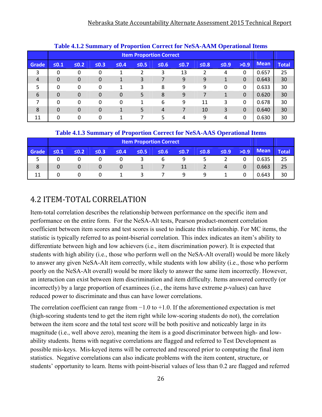| Table 4.1.2 Summary of Proportion Correct for NeSA-AAM Operational Items |                                                                                                                        |                                |          |   |   |    |    |    |          |          |             |              |
|--------------------------------------------------------------------------|------------------------------------------------------------------------------------------------------------------------|--------------------------------|----------|---|---|----|----|----|----------|----------|-------------|--------------|
|                                                                          |                                                                                                                        | <b>Item Proportion Correct</b> |          |   |   |    |    |    |          |          |             |              |
| Grade                                                                    | $\leq 0.1$<br>$\leq 0.9$<br>$\leq 0.2$<br>$\leq 0.3$<br>$\leq 0.4$<br>$\leq 0.5$<br>$\leq 0.6$<br>$≤0.7$<br>$\leq 0.8$ |                                |          |   |   |    |    |    |          | >0.9     | <b>Mean</b> | <b>Total</b> |
| 3                                                                        | 0                                                                                                                      | 0                              | 0        |   |   | 3  | 13 |    | 4        | 0        | 0.657       | 25           |
| $\overline{4}$                                                           | 0                                                                                                                      | $\overline{0}$                 | 0        | 1 | 3 |    | 9  | 9  |          | $\Omega$ | 0.643       | 30           |
| 5                                                                        | 0                                                                                                                      | 0                              | 0        | 1 | 3 | 8  | 9  | 9  | $\Omega$ | 0        | 0.633       | 30           |
| 6                                                                        | $\Omega$                                                                                                               | $\Omega$                       | 0        | 0 | 5 | 8  | 9  |    | 1        | $\Omega$ | 0.620       | 30           |
| 7                                                                        | 0                                                                                                                      | 0                              | 0        | 0 |   | 6  | 9  | 11 | 3        | 0        | 0.678       | 30           |
| 8                                                                        | 0                                                                                                                      | $\Omega$                       | $\Omega$ | 1 | 5 | 4  |    | 10 | 3        | $\Omega$ | 0.640       | 30           |
| 11                                                                       | 0                                                                                                                      | 0                              | 0        |   |   | 5. | 4  | 9  | 4        | 0        | 0.630       | 30           |

#### **Table 4.1.2 Summary of Proportion Correct for NeSA-AAM Operational Items**

#### **Table 4.1.3 Summary of Proportion Correct for NeSA-AAS Operational Items**

|       | <b>Item Proportion Correct</b> |        |            |        |            |        |            |        |            |          |             |       |
|-------|--------------------------------|--------|------------|--------|------------|--------|------------|--------|------------|----------|-------------|-------|
| Grade | $\leq 0.1$                     | $≤0.2$ | $\leq 0.3$ | $≤0.4$ | $\leq 0.5$ | $≤0.6$ | $\leq 0.7$ | $≤0.8$ | $\leq 0.9$ | >0.9     | <b>Mean</b> | Total |
| ◡     | 0                              |        | U          | 0      |            | b      | 9          |        |            |          | 0.635       | 25    |
| 8     | $\Omega$                       | 0      | 0          | 0      |            |        | 11         |        | 4          | $\Omega$ | 0.663       | 25    |
| 11    |                                | 0      | 0          |        |            |        | a          | q      |            |          | 0.643       | 30    |

### 4.2 ITEM‐TOTAL CORRELATION

Item-total correlation describes the relationship between performance on the specific item and performance on the entire form. For the NeSA-Alt tests, Pearson product-moment correlation coefficient between item scores and test scores is used to indicate this relationship. For MC items, the statistic is typically referred to as point-biserial correlation. This index indicates an item's ability to differentiate between high and low achievers (i.e., item discrimination power). It is expected that students with high ability (i.e., those who perform well on the NeSA-Alt overall) would be more likely to answer any given NeSA-Alt item correctly, while students with low ability (i.e., those who perform poorly on the NeSA-Alt overall) would be more likely to answer the same item incorrectly. However, an interaction can exist between item discrimination and item difficulty. Items answered correctly (or incorrectly) by a large proportion of examinees (i.e., the items have extreme *p*-values) can have reduced power to discriminate and thus can have lower correlations.

The correlation coefficient can range from  $-1.0$  to  $+1.0$ . If the aforementioned expectation is met (high-scoring students tend to get the item right while low-scoring students do not), the correlation between the item score and the total test score will be both positive and noticeably large in its magnitude (i.e., well above zero), meaning the item is a good discriminator between high- and lowability students. Items with negative correlations are flagged and referred to Test Development as possible mis-keys. Mis-keyed items will be corrected and rescored prior to computing the final item statistics. Negative correlations can also indicate problems with the item content, structure, or students' opportunity to learn. Items with point-biserial values of less than 0.2 are flagged and referred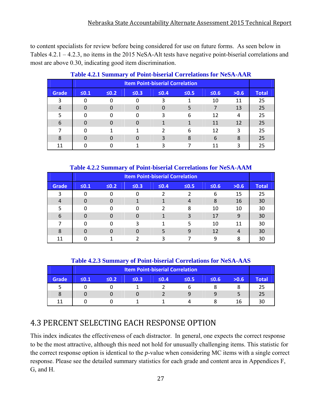to content specialists for review before being considered for use on future forms. As seen below in Tables 4.2.1 – 4.2.3, no items in the 2015 NeSA-Alt tests have negative point-biserial correlations and most are above 0.30, indicating good item discrimination.

| $\frac{1}{2}$<br><u>UMIC DEDUCTION COLLUMNIONS LUI INCOLE INITIAL</u> |                                        |            |            |            |            |            |      |              |
|-----------------------------------------------------------------------|----------------------------------------|------------|------------|------------|------------|------------|------|--------------|
|                                                                       | <b>Item Point-biserial Correlation</b> |            |            |            |            |            |      |              |
| <b>Grade</b>                                                          | $\leq 0.1$                             | $\leq 0.2$ | $\leq 0.3$ | $\leq 0.4$ | $\leq 0.5$ | $\leq 0.6$ | >0.6 | <b>Total</b> |
| 3                                                                     |                                        |            | O          | 3          |            | 10         | 11   | 25           |
| 4                                                                     |                                        | $\Omega$   | 0          |            |            |            | 13   | 25           |
| 5                                                                     |                                        | O          | 0          | 3          | 6          | 12         | 4    | 25           |
| 6                                                                     | 0                                      |            | 0          |            |            | 11         | 12   | 25           |
| 7                                                                     |                                        |            |            | 2          | 6          | 12         | 3    | 25           |
| 8                                                                     | $\Omega$                               | n          | O          | 3          | 8          | 6          | 8    | 25           |
| 11                                                                    |                                        |            |            |            |            | 11         | ς    | 25           |

#### **Table 4.2.1 Summary of Point-biserial Correlations for NeSA-AAR**

**Table 4.2.2 Summary of Point-biserial Correlations for NeSA-AAM** 

|                | <b>Item Point-biserial Correlation</b>                                                   |   |          |   |   |    |    |    |
|----------------|------------------------------------------------------------------------------------------|---|----------|---|---|----|----|----|
| Grade          | $\leq 0.2$<br>$\leq 0.3$<br>$\leq 0.5$<br>$\leq 0.6$<br>>0.6<br>$\leq 0.1$<br>$\leq 0.4$ |   |          |   |   |    |    |    |
| 3              | 0                                                                                        |   | 0        |   |   | 6  | 15 | 25 |
| $\overline{4}$ | 0                                                                                        |   |          |   | 4 | 8  | 16 | 30 |
| 5              | 0                                                                                        | O | 0        | 2 | 8 | 10 | 10 | 30 |
| 6              | 0                                                                                        |   | $\Omega$ |   | 3 | 17 | 9  | 30 |
| 7              | 0                                                                                        |   | 3        |   | 5 | 10 | 11 | 30 |
| 8              | 0                                                                                        |   | $\Omega$ |   | 9 | 12 | 4  | 30 |
| 11             |                                                                                          |   |          | ς |   | q  | 8  | 30 |

**Table 4.2.3 Summary of Point-biserial Correlations for NeSA-AAS** 

| <b>Item Point-biserial Correlation</b> |                                                                                      |  |  |  |  |  |    |  |  |
|----------------------------------------|--------------------------------------------------------------------------------------|--|--|--|--|--|----|--|--|
| Grade                                  | >0.6<br>$≤0.2$<br>$\leq 0.5$<br>$\leq 0.1$<br>$\leq 0.3$<br>$\leq 0.6$<br>$\leq 0.4$ |  |  |  |  |  |    |  |  |
|                                        |                                                                                      |  |  |  |  |  |    |  |  |
| 8                                      |                                                                                      |  |  |  |  |  |    |  |  |
| 11                                     |                                                                                      |  |  |  |  |  | 16 |  |  |

# 4.3 PERCENT SELECTING EACH RESPONSE OPTION

This index indicates the effectiveness of each distractor. In general, one expects the correct response to be the most attractive, although this need not hold for unusually challenging items. This statistic for the correct response option is identical to the *p*-value when considering MC items with a single correct response. Please see the detailed summary statistics for each grade and content area in Appendices F, G, and H.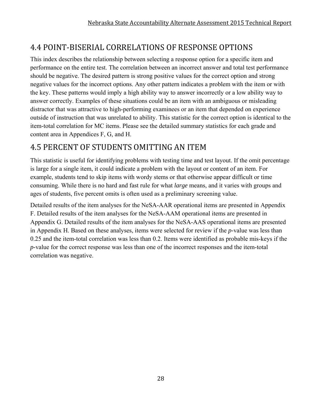# 4.4 POINT‐BISERIAL CORRELATIONS OF RESPONSE OPTIONS

This index describes the relationship between selecting a response option for a specific item and performance on the entire test. The correlation between an incorrect answer and total test performance should be negative. The desired pattern is strong positive values for the correct option and strong negative values for the incorrect options. Any other pattern indicates a problem with the item or with the key. These patterns would imply a high ability way to answer incorrectly or a low ability way to answer correctly. Examples of these situations could be an item with an ambiguous or misleading distractor that was attractive to high-performing examinees or an item that depended on experience outside of instruction that was unrelated to ability. This statistic for the correct option is identical to the item-total correlation for MC items. Please see the detailed summary statistics for each grade and content area in Appendices F, G, and H.

# **4.5 PERCENT OF STUDENTS OMITTING AN ITEM**

This statistic is useful for identifying problems with testing time and test layout. If the omit percentage is large for a single item, it could indicate a problem with the layout or content of an item. For example, students tend to skip items with wordy stems or that otherwise appear difficult or time consuming. While there is no hard and fast rule for what *large* means, and it varies with groups and ages of students, five percent omits is often used as a preliminary screening value.

Detailed results of the item analyses for the NeSA-AAR operational items are presented in Appendix F. Detailed results of the item analyses for the NeSA-AAM operational items are presented in Appendix G. Detailed results of the item analyses for the NeSA-AAS operational items are presented in Appendix H. Based on these analyses, items were selected for review if the *p-*value was less than 0.25 and the item-total correlation was less than 0.2. Items were identified as probable mis-keys if the *p-*value for the correct response was less than one of the incorrect responses and the item-total correlation was negative.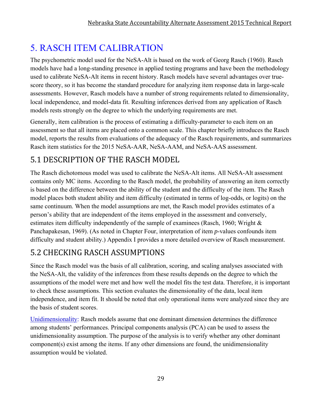# 5. RASCH ITEM CALIBRATION

The psychometric model used for the NeSA-Alt is based on the work of Georg Rasch (1960). Rasch models have had a long-standing presence in applied testing programs and have been the methodology used to calibrate NeSA-Alt items in recent history. Rasch models have several advantages over truescore theory, so it has become the standard procedure for analyzing item response data in large-scale assessments. However, Rasch models have a number of strong requirements related to dimensionality, local independence, and model-data fit. Resulting inferences derived from any application of Rasch models rests strongly on the degree to which the underlying requirements are met.

Generally, item calibration is the process of estimating a difficulty-parameter to each item on an assessment so that all items are placed onto a common scale. This chapter briefly introduces the Rasch model, reports the results from evaluations of the adequacy of the Rasch requirements, and summarizes Rasch item statistics for the 2015 NeSA-AAR, NeSA-AAM, and NeSA-AAS assessment.

# 5.1 DESCRIPTION OF THE RASCH MODEL

The Rasch dichotomous model was used to calibrate the NeSA-Alt items. All NeSA-Alt assessment contains only MC items. According to the Rasch model, the probability of answering an item correctly is based on the difference between the ability of the student and the difficulty of the item. The Rasch model places both student ability and item difficulty (estimated in terms of log-odds, or logits) on the same continuum. When the model assumptions are met, the Rasch model provides estimates of a person's ability that are independent of the items employed in the assessment and conversely, estimates item difficulty independently of the sample of examinees (Rasch, 1960; Wright & Panchapakesan, 1969). (As noted in Chapter Four, interpretation of item *p*-values confounds item difficulty and student ability.) Appendix I provides a more detailed overview of Rasch measurement.

# 5.2 CHECKING RASCH ASSUMPTIONS

Since the Rasch model was the basis of all calibration, scoring, and scaling analyses associated with the NeSA-Alt, the validity of the inferences from these results depends on the degree to which the assumptions of the model were met and how well the model fits the test data. Therefore, it is important to check these assumptions. This section evaluates the dimensionality of the data, local item independence, and item fit. It should be noted that only operational items were analyzed since they are the basis of student scores.

Unidimensionality: Rasch models assume that one dominant dimension determines the difference among students' performances. Principal components analysis (PCA) can be used to assess the unidimensionality assumption. The purpose of the analysis is to verify whether any other dominant component(s) exist among the items. If any other dimensions are found, the unidimensionality assumption would be violated.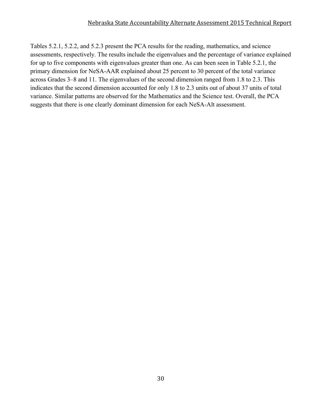Tables 5.2.1, 5.2.2, and 5.2.3 present the PCA results for the reading, mathematics, and science assessments, respectively. The results include the eigenvalues and the percentage of variance explained for up to five components with eigenvalues greater than one. As can been seen in Table 5.2.1, the primary dimension for NeSA-AAR explained about 25 percent to 30 percent of the total variance across Grades 3–8 and 11. The eigenvalues of the second dimension ranged from 1.8 to 2.3. This indicates that the second dimension accounted for only 1.8 to 2.3 units out of about 37 units of total variance. Similar patterns are observed for the Mathematics and the Science test. Overall, the PCA suggests that there is one clearly dominant dimension for each NeSA-Alt assessment.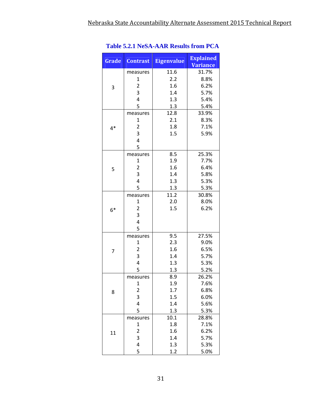| Grade | <b>Contrast</b>         | <b>Eigenvalue</b> | <b>Explained</b> |
|-------|-------------------------|-------------------|------------------|
|       |                         | 11.6              | <b>Variance</b>  |
|       | measures                |                   | 31.7%            |
|       | 1                       | 2.2               | 8.8%             |
| 3     | $\overline{\mathbf{c}}$ | 1.6               | 6.2%             |
|       | 3                       | 1.4               | 5.7%             |
|       | 4                       | 1.3               | 5.4%             |
|       | 5                       | 1.3               | 5.4%             |
|       | measures                | 12.8              | 33.9%            |
|       | $\mathbf{1}$            | 2.1               | 8.3%             |
| $4*$  | $\overline{\mathbf{c}}$ | 1.8               | 7.1%             |
|       | 3                       | 1.5               | 5.9%             |
|       | 4                       |                   |                  |
|       | 5                       |                   |                  |
|       | measures                | 8.5               | 25.3%            |
|       | 1                       | 1.9               | 7.7%             |
| 5     | $\overline{2}$          | 1.6               | 6.4%             |
|       | 3                       | 1.4               | 5.8%             |
|       | 4                       | 1.3               | 5.3%             |
|       | 5                       | 1.3               | 5.3%             |
|       | measures                | 11.2              | 30.8%            |
|       | 1                       | 2.0               | 8.0%             |
| 6*    | $\overline{2}$          | 1.5               | 6.2%             |
|       | 3                       |                   |                  |
|       | 4                       |                   |                  |
|       | 5                       |                   |                  |
|       | measures                | 9.5               | 27.5%            |
|       | 1                       | 2.3               | 9.0%             |
| 7     | $\overline{2}$          | 1.6               | 6.5%             |
|       | 3                       | 1.4               | 5.7%             |
|       | 4                       | 1.3               | 5.3%             |
|       | 5                       | 1.3               | 5.2%             |
|       | measures                | 8.9               | 26.2%            |
|       | $\mathbf 1$             | 1.9               | 7.6%             |
| 8     | $\overline{\mathbf{c}}$ | 1.7               | 6.8%             |
|       | 3                       | 1.5               | 6.0%             |
|       | 4                       | 1.4               | 5.6%             |
|       | 5                       | 1.3               | 5.3%             |
|       | measures                | 10.1              | 28.8%            |
|       | 1                       | 1.8               | 7.1%             |
| 11    | 2                       | 1.6               | 6.2%             |
|       | 3                       | 1.4               | 5.7%             |
|       | 4                       | 1.3               | 5.3%             |
|       | 5                       | 1.2               | 5.0%             |

### **Table 5.2.1 NeSA-AAR Results from PCA**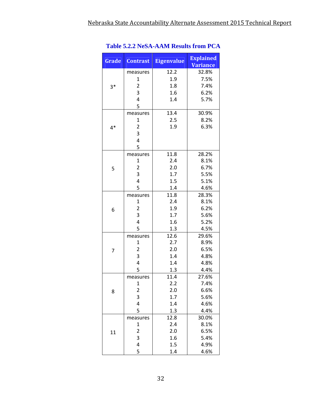| Grade | <b>Contrast</b>         | <b>Eigenvalue</b> | <b>Explained</b><br><b>Variance</b> |
|-------|-------------------------|-------------------|-------------------------------------|
|       | measures                | 12.2              | 32.8%                               |
|       | 1                       | 1.9               | 7.5%                                |
| $3*$  | $\overline{2}$          | 1.8               | 7.4%                                |
|       | 3                       | 1.6               | 6.2%                                |
|       | 4                       | 1.4               | 5.7%                                |
|       | 5                       |                   |                                     |
|       | measures                | 13.4              | 30.9%                               |
|       | 1                       | 2.5               | 8.2%                                |
| 4*    | 2                       | 1.9               | 6.3%                                |
|       | 3                       |                   |                                     |
|       | 4                       |                   |                                     |
|       | 5                       |                   |                                     |
|       | measures                | 11.8              | 28.2%                               |
|       | 1                       | 2.4               | 8.1%                                |
| 5     | $\overline{\mathbf{c}}$ | 2.0               | 6.7%                                |
|       | 3                       | 1.7               | 5.5%                                |
|       | 4                       | 1.5               | 5.1%                                |
|       | 5                       | 1.4               | 4.6%                                |
|       | measures                | 11.8              | 28.3%                               |
|       | 1                       | 2.4               | 8.1%                                |
| 6     | $\overline{2}$          | 1.9               | 6.2%                                |
|       | 3                       | 1.7               | 5.6%                                |
|       | 4                       | 1.6               | 5.2%                                |
|       | 5                       | 1.3               | 4.5%                                |
|       | measures                | 12.6              | 29.6%                               |
|       | 1                       | 2.7               | 8.9%                                |
| 7     | $\overline{\mathbf{c}}$ | 2.0               | 6.5%                                |
|       | 3                       | 1.4               | 4.8%                                |
|       | $\overline{4}$          | 1.4               | 4.8%                                |
|       | 5                       | 1.3               | 4.4%                                |
|       | measures                | 11.4              | 27.6%                               |
|       | 1                       | 2.2               | 7.4%                                |
| 8     | $\overline{\mathbf{c}}$ | 2.0               | 6.6%                                |
|       | 3                       | 1.7               | 5.6%                                |
|       | 4                       | 1.4               | 4.6%                                |
|       | 5                       | 1.3               | 4.4%                                |
|       | measures                | 12.8              | 30.0%                               |
|       | $\mathbf 1$             | 2.4               | 8.1%                                |
| 11    | 2                       | 2.0               | 6.5%                                |
|       | 3                       | 1.6               | 5.4%                                |
|       | 4                       | 1.5               | 4.9%                                |
|       | 5                       | 1.4               | 4.6%                                |

### **Table 5.2.2 NeSA-AAM Results from PCA**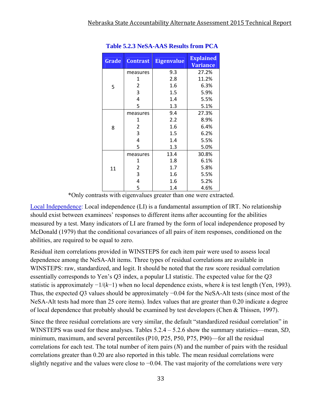| Grade | <b>Contrast</b> | <b>Eigenvalue</b> | <b>Explained</b><br><b>Variance</b> |
|-------|-----------------|-------------------|-------------------------------------|
|       | measures        | 9.3               | 27.2%                               |
|       | 1               | 2.8               | 11.2%                               |
| 5     | 2               | 1.6               | 6.3%                                |
|       | 3               | 1.5               | 5.9%                                |
|       | 4               | 1.4               | 5.5%                                |
|       | 5               | 1.3               | 5.1%                                |
|       | measures        | 9.4               | 27.3%                               |
|       | 1               | 2.2               | 8.9%                                |
| 8     | 2               | 1.6               | 6.4%                                |
|       | 3               | 1.5               | 6.2%                                |
|       | 4               | 1.4               | 5.5%                                |
|       | 5               | 1.3               | 5.0%                                |
|       | measures        | 13.4              | 30.8%                               |
|       | 1               | 1.8               | 6.1%                                |
| 11    | 2               | 1.7               | 5.8%                                |
|       | 3               | 1.6               | 5.5%                                |
|       | 4               | 1.6               | 5.2%                                |
|       | 5               | 1.4               | 4.6%                                |

#### **Table 5.2.3 NeSA-AAS Results from PCA**

\*Only contrasts with eigenvalues greater than one were extracted.

Local Independence: Local independence (LI) is a fundamental assumption of IRT. No relationship should exist between examinees' responses to different items after accounting for the abilities measured by a test. Many indicators of LI are framed by the form of local independence proposed by McDonald (1979) that the conditional covariances of all pairs of item responses, conditioned on the abilities, are required to be equal to zero.

Residual item correlations provided in WINSTEPS for each item pair were used to assess local dependence among the NeSA-Alt items. Three types of residual correlations are available in WINSTEPS: raw, standardized, and logit. It should be noted that the raw score residual correlation essentially corresponds to Yen's *Q*3 index, a popular LI statistic. The expected value for the *Q3*  statistic is approximately −1/(*k*−1) when no local dependence exists, where *k* is test length (Yen, 1993). Thus, the expected *Q*3 values should be approximately −0.04 for the NeSA-Alt tests (since most of the NeSA-Alt tests had more than 25 core items). Index values that are greater than 0.20 indicate a degree of local dependence that probably should be examined by test developers (Chen & Thissen, 1997).

Since the three residual correlations are very similar, the default "standardized residual correlation" in WINSTEPS was used for these analyses. Tables  $5.2.4 - 5.2.6$  show the summary statistics—mean, *SD*, minimum, maximum, and several percentiles (P10, P25, P50, P75, P90)—for all the residual correlations for each test. The total number of item pairs (*N*) and the number of pairs with the residual correlations greater than 0.20 are also reported in this table. The mean residual correlations were slightly negative and the values were close to −0.04. The vast majority of the correlations were very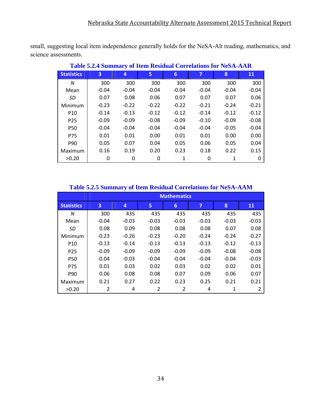small, suggesting local item independence generally holds for the NeSA-Alt reading, mathematics, and science assessments.

| Table 3.2.4 Summary of Item Residual Correlations for Preser-AAR |         |         |         |                |         |         |         |  |  |  |
|------------------------------------------------------------------|---------|---------|---------|----------------|---------|---------|---------|--|--|--|
| <b>Statistics</b>                                                | 3       | 4       | 5       | $6\phantom{1}$ | 7       | 8       | 11      |  |  |  |
| N                                                                | 300     | 300     | 300     | 300            | 300     | 300     | 300     |  |  |  |
| Mean                                                             | $-0.04$ | $-0.04$ | $-0.04$ | $-0.04$        | $-0.04$ | $-0.04$ | $-0.04$ |  |  |  |
| SD.                                                              | 0.07    | 0.08    | 0.06    | 0.07           | 0.07    | 0.07    | 0.06    |  |  |  |
| Minimum                                                          | $-0.23$ | $-0.22$ | $-0.22$ | $-0.22$        | $-0.21$ | $-0.24$ | $-0.21$ |  |  |  |
| P <sub>10</sub>                                                  | $-0.14$ | $-0.13$ | $-0.12$ | $-0.12$        | $-0.14$ | $-0.12$ | $-0.12$ |  |  |  |
| P <sub>25</sub>                                                  | $-0.09$ | $-0.09$ | $-0.08$ | $-0.09$        | $-0.10$ | $-0.09$ | $-0.08$ |  |  |  |
| <b>P50</b>                                                       | $-0.04$ | $-0.04$ | $-0.04$ | $-0.04$        | $-0.04$ | $-0.05$ | $-0.04$ |  |  |  |
| <b>P75</b>                                                       | 0.01    | 0.01    | 0.00    | 0.01           | 0.01    | 0.00    | 0.00    |  |  |  |
| P90                                                              | 0.05    | 0.07    | 0.04    | 0.05           | 0.06    | 0.05    | 0.04    |  |  |  |
| Maximum                                                          | 0.16    | 0.19    | 0.20    | 0.23           | 0.18    | 0.22    | 0.15    |  |  |  |
| >0.20                                                            | 0       | 0       | 0       | 1              | 0       | 1       | 0       |  |  |  |

**Table 5.2.4 Summary of Item Residual Correlations for NeSA-AAR** 

### **Table 5.2.5 Summary of Item Residual Correlations for NeSA-AAM**

|                   | <b>Mathematics</b> |         |         |         |         |         |         |  |  |  |
|-------------------|--------------------|---------|---------|---------|---------|---------|---------|--|--|--|
| <b>Statistics</b> | 3                  | 4       | 5       | 6       | 7       | 8       | 11      |  |  |  |
| N                 | 300                | 435     | 435     | 435     | 435     | 435     | 435     |  |  |  |
| Mean              | $-0.04$            | $-0.03$ | $-0.03$ | $-0.03$ | $-0.03$ | $-0.03$ | $-0.03$ |  |  |  |
| SD                | 0.08               | 0.09    | 0.08    | 0.08    | 0.08    | 0.07    | 0.08    |  |  |  |
| Minimum           | $-0.23$            | $-0.26$ | $-0.23$ | $-0.20$ | $-0.24$ | $-0.24$ | $-0.27$ |  |  |  |
| P <sub>10</sub>   | $-0.13$            | $-0.14$ | $-0.13$ | $-0.13$ | $-0.13$ | $-0.12$ | $-0.13$ |  |  |  |
| P <sub>25</sub>   | $-0.09$            | $-0.09$ | $-0.09$ | $-0.09$ | $-0.09$ | $-0.08$ | $-0.08$ |  |  |  |
| <b>P50</b>        | $-0.04$            | $-0.03$ | $-0.04$ | $-0.04$ | $-0.04$ | $-0.04$ | $-0.03$ |  |  |  |
| P75               | 0.01               | 0.03    | 0.02    | 0.03    | 0.02    | 0.02    | 0.01    |  |  |  |
| P90               | 0.06               | 0.08    | 0.08    | 0.07    | 0.09    | 0.06    | 0.07    |  |  |  |
| Maximum           | 0.21               | 0.27    | 0.22    | 0.23    | 0.25    | 0.21    | 0.21    |  |  |  |
| >0.20             | 2                  | 4       | 2       | 2       | 4       | 1       | 2       |  |  |  |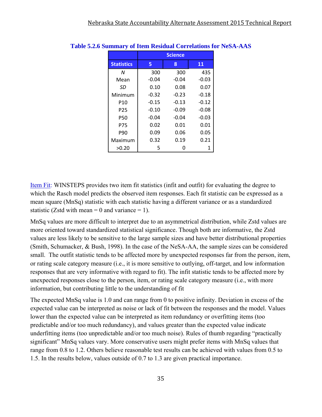|                   |         | <b>Science</b> |         |
|-------------------|---------|----------------|---------|
| <b>Statistics</b> | 5       | 8              | 11      |
| N                 | 300     | 300            | 435     |
| Mean              | $-0.04$ | $-0.04$        | $-0.03$ |
| SD                | 0.10    | 0.08           | 0.07    |
| Minimum           | $-0.32$ | $-0.23$        | $-0.18$ |
| P <sub>10</sub>   | $-0.15$ | $-0.13$        | $-0.12$ |
| P <sub>25</sub>   | $-0.10$ | $-0.09$        | $-0.08$ |
| <b>P50</b>        | $-0.04$ | $-0.04$        | $-0.03$ |
| P75               | 0.02    | 0.01           | 0.01    |
| P90               | 0.09    | 0.06           | 0.05    |
| Maximum           | 0.32    | 0.19           | 0.21    |
| >0.20             | 5       | n              | 1       |

#### **Table 5.2.6 Summary of Item Residual Correlations for NeSA-AAS**

Item Fit: WINSTEPS provides two item fit statistics (infit and outfit) for evaluating the degree to which the Rasch model predicts the observed item responses. Each fit statistic can be expressed as a mean square (MnSq) statistic with each statistic having a different variance or as a standardized statistic (Zstd with mean  $= 0$  and variance  $= 1$ ).

MnSq values are more difficult to interpret due to an asymmetrical distribution, while Zstd values are more oriented toward standardized statistical significance. Though both are informative, the Zstd values are less likely to be sensitive to the large sample sizes and have better distributional properties (Smith, Schumacker, & Bush, 1998). In the case of the NeSA-AA, the sample sizes can be considered small. The outfit statistic tends to be affected more by unexpected responses far from the person, item, or rating scale category measure (i.e., it is more sensitive to outlying, off-target, and low information responses that are very informative with regard to fit). The infit statistic tends to be affected more by unexpected responses close to the person, item, or rating scale category measure (i.e., with more information, but contributing little to the understanding of fit

The expected MnSq value is 1.0 and can range from 0 to positive infinity. Deviation in excess of the expected value can be interpreted as noise or lack of fit between the responses and the model. Values lower than the expected value can be interpreted as item redundancy or overfitting items (too predictable and/or too much redundancy), and values greater than the expected value indicate underfitting items (too unpredictable and/or too much noise). Rules of thumb regarding "practically significant" MnSq values vary. More conservative users might prefer items with MnSq values that range from 0.8 to 1.2. Others believe reasonable test results can be achieved with values from 0.5 to 1.5. In the results below, values outside of 0.7 to 1.3 are given practical importance.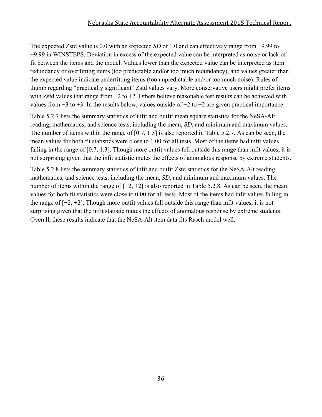#### Nebraska State Accountability Alternate Assessment 2015 Technical Report

The expected Zstd value is 0.0 with an expected *SD* of 1.0 and can effectively range from −9.99 to +9.99 in WINSTEPS. Deviation in excess of the expected value can be interpreted as noise or lack of fit between the items and the model. Values lower than the expected value can be interpreted as item redundancy or overfitting items (too predictable and/or too much redundancy), and values greater than the expected value indicate underfitting items (too unpredictable and/or too much noise). Rules of thumb regarding "practically significant" Zstd values vary. More conservative users might prefer items with Zstd values that range from −2 to +2. Others believe reasonable test results can be achieved with values from −3 to +3. In the results below, values outside of −2 to +2 are given practical importance.

Table 5.2.7 lists the summary statistics of infit and outfit mean square statistics for the NeSA-Alt reading, mathematics, and science tests, including the mean, *SD*, and minimum and maximum values. The number of items within the range of [0.7, 1.3] is also reported in Table 5.2.7. As can be seen, the mean values for both fit statistics were close to 1.00 for all tests. Most of the items had infit values falling in the range of [0.7, 1.3]. Though more outfit values fell outside this range than infit values, it is not surprising given that the infit statistic mutes the effects of anomalous response by extreme students.

Table 5.2.8 lists the summary statistics of infit and outfit Zstd statistics for the NeSA-Alt reading, mathematics, and science tests, including the mean, *SD*, and minimum and maximum values. The number of items within the range of  $[-2, +2]$  is also reported in Table 5.2.8. As can be seen, the mean values for both fit statistics were close to 0.00 for all tests. Most of the items had infit values falling in the range of [−2, +2]. Though more outfit values fell outside this range than infit values, it is not surprising given that the infit statistic mutes the effects of anomalous response by extreme students. Overall, these results indicate that the NeSA-Alt item data fits Rasch model well.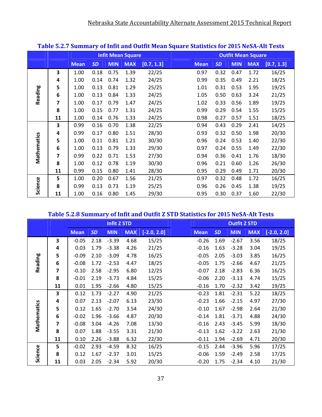|             |    |             |           |            | <b>Infit Mean Square</b> |            |             |           |            | <b>Outfit Mean Square</b> |            |
|-------------|----|-------------|-----------|------------|--------------------------|------------|-------------|-----------|------------|---------------------------|------------|
|             |    | <b>Mean</b> | <b>SD</b> | <b>MIN</b> | <b>MAX</b>               | [0.7, 1.3] | <b>Mean</b> | <b>SD</b> | <b>MIN</b> | <b>MAX</b>                | [0.7, 1.3] |
|             | 3  | 1.00        | 0.18      | 0.75       | 1.39                     | 22/25      | 0.97        | 0.32      | 0.47       | 1.72                      | 16/25      |
|             | 4  | 1.00        | 0.14      | 0.74       | 1.32                     | 24/25      | 0.99        | 0.35      | 0.49       | 2.21                      | 18/25      |
|             | 5  | 1.00        | 0.13      | 0.81       | 1.29                     | 25/25      | 1.01        | 0.31      | 0.53       | 1.95                      | 19/25      |
| Reading     | 6  | 1.00        | 0.13      | 0.84       | 1.33                     | 24/25      | 1.05        | 0.50      | 0.63       | 3.24                      | 21/25      |
|             | 7  | 1.00        | 0.17      | 0.79       | 1.47                     | 24/25      | 1.02        | 0.33      | 0.56       | 1.89                      | 19/25      |
|             | 8  | 1.00        | 0.15      | 0.77       | 1.31                     | 24/25      | 0.99        | 0.29      | 0.54       | 1.55                      | 15/25      |
|             | 11 | 1.00        | 0.14      | 0.76       | 1.33                     | 24/25      | 0.98        | 0.27      | 0.57       | 1.51                      | 18/25      |
|             | 3  | 0.99        | 0.16      | 0.70       | 1.38                     | 22/25      | 0.94        | 0.43      | 0.29       | 2.41                      | 14/25      |
|             | 4  | 0.99        | 0.17      | 0.80       | 1.51                     | 28/30      | 0.93        | 0.32      | 0.50       | 1.98                      | 20/30      |
| Mathematics | 5  | 1.00        | 0.11      | 0.81       | 1.21                     | 30/30      | 0.96        | 0.24      | 0.53       | 1.40                      | 22/30      |
|             | 6  | 1.00        | 0.13      | 0.79       | 1.33                     | 29/30      | 0.97        | 0.24      | 0.55       | 1.49                      | 22/30      |
|             | 7  | 0.99        | 0.22      | 0.71       | 1.53                     | 27/30      | 0.94        | 0.36      | 0.41       | 1.76                      | 18/30      |
|             | 8  | 1.00        | 0.12      | 0.78       | 1.19                     | 30/30      | 0.96        | 0.21      | 0.60       | 1.26                      | 26/30      |
|             | 11 | 0.99        | 0.15      | 0.80       | 1.41                     | 28/30      | 0.95        | 0.29      | 0.49       | 1.71                      | 20/30      |
|             | 5  | 1.00        | 0.20      | 0.67       | 1.56                     | 21/25      | 0.97        | 0.32      | 0.48       | 1.72                      | 16/25      |
| Science     | 8  | 0.99        | 0.13      | 0.73       | 1.19                     | 25/25      | 0.96        | 0.26      | 0.45       | 1.38                      | 19/25      |
|             | 11 | 1.00        | 0.16      | 0.80       | 1.45                     | 29/30      | 0.95        | 0.30      | 0.37       | 1.60                      | 22/30      |

### **Table 5.2.7 Summary of Infit and Outfit Mean Square Statistics for 2015 NeSA‐Alt Tests**

### **Table 5.2.8 Summary of Infit and Outfit Z STD Statistics for 2015 NeSA‐Alt Tests**

|             |    |             |           | <b>Infit Z STD</b> |            |               |             |           | <b>Outfit Z STD</b> |            |               |
|-------------|----|-------------|-----------|--------------------|------------|---------------|-------------|-----------|---------------------|------------|---------------|
|             |    | <b>Mean</b> | <b>SD</b> | <b>MIN</b>         | <b>MAX</b> | $[-2.0, 2.0]$ | <b>Mean</b> | <b>SD</b> | <b>MIN</b>          | <b>MAX</b> | $[-2.0, 2.0]$ |
|             | 3  | $-0.05$     | 2.18      | $-3.39$            | 4.68       | 15/25         | $-0.26$     | 1.69      | $-2.67$             | 3.56       | 18/25         |
|             | 4  | 0.03        | 1.79      | $-3.38$            | 4.26       | 21/25         | $-0.16$     | 1.63      | $-3.28$             | 3.04       | 19/25         |
|             | 5  | $-0.09$     | 2.10      | $-3.09$            | 4.78       | 16/25         | $-0.05$     | 2.05      | $-3.03$             | 3.85       | 16/25         |
| Reading     | 6  | $-0.08$     | 1.72      | $-2.53$            | 4.47       | 18/25         | $-0.05$     | 1.75      | $-2.66$             | 4.67       | 21/25         |
|             | 7  | $-0.10$     | 2.58      | $-2.95$            | 6.80       | 12/25         | $-0.07$     | 2.18      | $-2.83$             | 6.36       | 16/25         |
|             | 8  | $-0.01$     | 2.19      | $-3.73$            | 4.84       | 15/25         | $-0.06$     | 2.20      | $-3.13$             | 4.74       | 15/25         |
|             | 11 | 0.01        | 1.95      | $-2.66$            | 4.80       | 15/25         | $-0.16$     | 1.70      | $-2.32$             | 3.42       | 19/25         |
|             | 3  | 0.12        | 1.73      | $-2.27$            | 4.90       | 21/25         | $-0.23$     | 1.81      | $-2.31$             | 5.22       | 18/25         |
|             | 4  | 0.07        | 2.13      | $-2.07$            | 6.13       | 23/30         | $-0.23$     | 1.66      | $-2.15$             | 4.97       | 27/30         |
|             | 5  | 0.12        | 1.65      | $-2.70$            | 3.54       | 24/30         | $-0.10$     | 1.67      | $-2.98$             | 2.64       | 21/30         |
|             | 6  | $-0.02$     | 1.96      | $-3.66$            | 4.87       | 20/30         | $-0.14$     | 1.81      | $-3.71$             | 4.88       | 24/30         |
| Mathematics | 7  | $-0.08$     | 3.04      | $-4.26$            | 7.08       | 13/30         | $-0.16$     | 2.43      | $-3.45$             | 5.99       | 18/30         |
|             | 8  | 0.07        | 1.88      | $-3.55$            | 3.31       | 21/30         | $-0.13$     | 1.62      | $-3.22$             | 2.63       | 21/30         |
|             | 11 | 0.10        | 2.26      | $-3.88$            | 6.32       | 22/30         | $-0.11$     | 1.94      | $-2.69$             | 4.71       | 20/30         |
|             | 5  | $-0.02$     | 2.93      | $-4.59$            | 8.32       | 16/25         | $-0.15$     | 2.44      | $-3.96$             | 5.96       | 17/25         |
| Science     | 8  | 0.12        | 1.67      | $-2.37$            | 3.01       | 15/25         | $-0.06$     | 1.59      | $-2.49$             | 2.58       | 17/25         |
|             | 11 | 0.03        | 2.05      | $-2.34$            | 5.92       | 20/30         | $-0.20$     | 1.75      | $-2.34$             | 4.10       | 21/30         |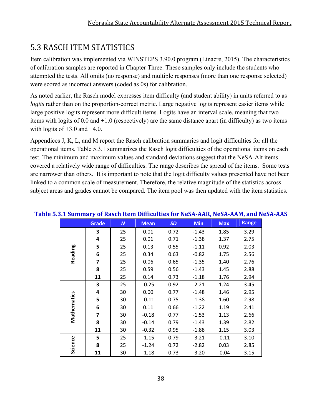# 5.3 RASCH ITEM STATISTICS

Item calibration was implemented via WINSTEPS 3.90.0 program (Linacre, 2015). The characteristics of calibration samples are reported in Chapter Three. These samples only include the students who attempted the tests. All omits (no response) and multiple responses (more than one response selected) were scored as incorrect answers (coded as 0s) for calibration.

As noted earlier, the Rasch model expresses item difficulty (and student ability) in units referred to as *logits* rather than on the proportion-correct metric. Large negative logits represent easier items while large positive logits represent more difficult items. Logits have an interval scale, meaning that two items with logits of 0.0 and +1.0 (respectively) are the same distance apart (in difficulty) as two items with logits of  $+3.0$  and  $+4.0$ .

Appendices J, K, L, and M report the Rasch calibration summaries and logit difficulties for all the operational items. Table 5.3.1 summarizes the Rasch logit difficulties of the operational items on each test. The minimum and maximum values and standard deviations suggest that the NeSA-Alt items covered a relatively wide range of difficulties. The range describes the spread of the items. Some tests are narrower than others. It is important to note that the logit difficulty values presented have not been linked to a common scale of measurement. Therefore, the relative magnitude of the statistics across subject areas and grades cannot be compared. The item pool was then updated with the item statistics.

|             | <b>Grade</b>   | $\boldsymbol{N}$ | <b>Mean</b> | <b>SD</b> | <b>Min</b> | <b>Max</b> | <b>Range</b> |
|-------------|----------------|------------------|-------------|-----------|------------|------------|--------------|
|             | 3              | 25               | 0.01        | 0.72      | $-1.43$    | 1.85       | 3.29         |
|             | 4              | 25               | 0.01        | 0.71      | $-1.38$    | 1.37       | 2.75         |
|             | 5              | 25               | 0.13        | 0.55      | $-1.11$    | 0.92       | 2.03         |
| Reading     | 6              | 25               | 0.34        | 0.63      | $-0.82$    | 1.75       | 2.56         |
|             | $\overline{7}$ | 25               | 0.06        | 0.65      | $-1.35$    | 1.40       | 2.76         |
|             | 8              | 25               | 0.59        | 0.56      | $-1.43$    | 1.45       | 2.88         |
|             | 11             | 25               | 0.14        | 0.73      | $-1.18$    | 1.76       | 2.94         |
|             | 3              | 25               | $-0.25$     | 0.92      | $-2.21$    | 1.24       | 3.45         |
|             | 4              | 30               | 0.00        | 0.77      | $-1.48$    | 1.46       | 2.95         |
| Mathematics | 5              | 30               | $-0.11$     | 0.75      | $-1.38$    | 1.60       | 2.98         |
|             | 6              | 30               | 0.11        | 0.66      | $-1.22$    | 1.19       | 2.41         |
|             | 7              | 30               | $-0.18$     | 0.77      | $-1.53$    | 1.13       | 2.66         |
|             | 8              | 30               | $-0.14$     | 0.79      | $-1.43$    | 1.39       | 2.82         |
|             | 11             | 30               | $-0.32$     | 0.95      | $-1.88$    | 1.15       | 3.03         |
|             | 5              | 25               | $-1.15$     | 0.79      | $-3.21$    | $-0.11$    | 3.10         |
| Science     | 8              | 25               | $-1.24$     | 0.72      | $-2.82$    | 0.03       | 2.85         |
|             | 11             | 30               | $-1.18$     | 0.73      | $-3.20$    | $-0.04$    | 3.15         |

### **Table 5.3.1 Summary of Rasch Item Difficulties for NeSA‐AAR, NeSA‐AAM, and NeSA‐AAS**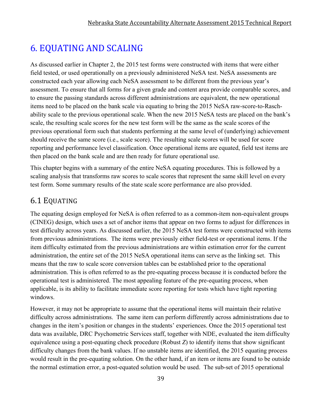# 6. EQUATING AND SCALING

As discussed earlier in Chapter 2, the 2015 test forms were constructed with items that were either field tested, or used operationally on a previously administered NeSA test. NeSA assessments are constructed each year allowing each NeSA assessment to be different from the previous year's assessment. To ensure that all forms for a given grade and content area provide comparable scores, and to ensure the passing standards across different administrations are equivalent, the new operational items need to be placed on the bank scale via equating to bring the 2015 NeSA raw-score-to-Raschability scale to the previous operational scale. When the new 2015 NeSA tests are placed on the bank's scale, the resulting scale scores for the new test form will be the same as the scale scores of the previous operational form such that students performing at the same level of (underlying) achievement should receive the same score (i.e., scale score). The resulting scale scores will be used for score reporting and performance level classification. Once operational items are equated, field test items are then placed on the bank scale and are then ready for future operational use.

This chapter begins with a summary of the entire NeSA equating procedures. This is followed by a scaling analysis that transforms raw scores to scale scores that represent the same skill level on every test form. Some summary results of the state scale score performance are also provided.

### 6.1 EQUATING

The equating design employed for NeSA is often referred to as a common-item non-equivalent groups (CINEG) design, which uses a set of anchor items that appear on two forms to adjust for differences in test difficulty across years. As discussed earlier, the 2015 NeSA test forms were constructed with items from previous administrations. The items were previously either field-test or operational items. If the item difficulty estimated from the previous administrations are within estimation error for the current administration, the entire set of the 2015 NeSA operational items can serve as the linking set. This means that the raw to scale score conversion tables can be established prior to the operational administration. This is often referred to as the pre-equating process because it is conducted before the operational test is administered. The most appealing feature of the pre-equating process, when applicable, is its ability to facilitate immediate score reporting for tests which have tight reporting windows.

However, it may not be appropriate to assume that the operational items will maintain their relative difficulty across administrations. The same item can perform differently across administrations due to changes in the item's position or changes in the students' experiences. Once the 2015 operational test data was available, DRC Psychometric Services staff, together with NDE, evaluated the item difficulty equivalence using a post-equating check procedure (Robust *Z*) to identify items that show significant difficulty changes from the bank values. If no unstable items are identified, the 2015 equating process would result in the pre-equating solution. On the other hand, if an item or items are found to be outside the normal estimation error, a post-equated solution would be used. The sub-set of 2015 operational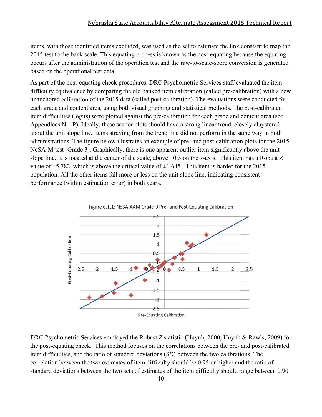items, with those identified items excluded, was used as the set to estimate the link constant to map the 2015 test to the bank scale. This equating process is known as the post-equating because the equating occurs after the administration of the operation test and the raw-to-scale-score conversion is generated based on the operational test data.

As part of the post-equating check procedures, DRC Psychometric Services staff evaluated the item difficulty equivalence by comparing the old banked item calibration (called pre-calibration) with a new unanchored calibration of the 2015 data (called post-calibration). The evaluations were conducted for each grade and content area, using both visual graphing and statistical methods. The post-calibrated item difficulties (logits) were plotted against the pre-calibration for each grade and content area (see Appendices  $N - P$ ). Ideally, these scatter plots should have a strong linear trend, closely cluystered about the unit slope line. Items straying from the trend line did not perform in the same way in both administrations. The figure below illustrates an example of pre- and post-calibration plots for the 2015 NeSA-M test (Grade 3). Graphically, there is one apparent outlier item significantly above the unit slope line. It is located at the center of the scale, above  $-0.5$  on the *x*-axis. This item has a Robust *Z* value of  $-5.782$ , which is above the critical value of  $\pm 1.645$ . This item is harder for the 2015 population. All the other items fall more or less on the unit slope line, indicating consistent performance (within estimation error) in both years.



DRC Psychometric Services employed the Robust *Z* statistic (Huynh, 2000; Huynh & Rawls, 2009) for the post-equating check. This method focuses on the correlations between the pre- and post-calibrated item difficulties, and the ratio of standard deviations (SD) between the two calibrations. The correlation between the two estimates of item difficulty should be 0.95 or higher and the ratio of standard deviations between the two sets of estimates of the item difficulty should range between 0.90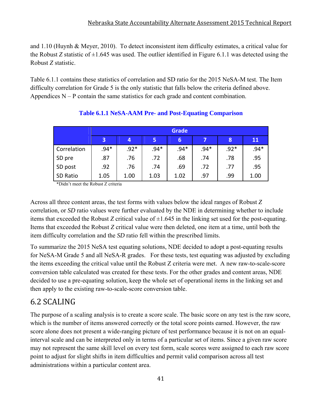and 1.10 (Huynh & Meyer, 2010). To detect inconsistent item difficulty estimates, a critical value for the Robust *Z* statistic of  $\pm 1.645$  was used. The outlier identified in Figure 6.1.1 was detected using the Robust *Z* statistic.

Table 6.1.1 contains these statistics of correlation and SD ratio for the 2015 NeSA-M test. The Item difficulty correlation for Grade 5 is the only statistic that falls below the criteria defined above. Appendices  $N - P$  contain the same statistics for each grade and content combination.

|             |        | <b>Grade</b> |        |                 |        |        |        |  |  |  |
|-------------|--------|--------------|--------|-----------------|--------|--------|--------|--|--|--|
|             | 3      | 4            | 5      | $\vert 6 \vert$ |        | 8      | 11     |  |  |  |
| Correlation | $.94*$ | $.92*$       | $.94*$ | $.94*$          | $.94*$ | $.92*$ | $.94*$ |  |  |  |
| SD pre      | .87    | .76          | .72    | .68             | .74    | .78    | .95    |  |  |  |
| SD post     | .92    | .76          | .74    | .69             | .72    | .77    | .95    |  |  |  |
| SD Ratio    | 1.05   | 1.00         | 1.03   | 1.02            | .97    | .99    | 1.00   |  |  |  |

### **Table 6.1.1 NeSA-AAM Pre- and Post-Equating Comparison**

\*Didn't meet the Robust Z criteria

Across all three content areas, the test forms with values below the ideal ranges of Robust *Z* correlation, or *SD* ratio values were further evaluated by the NDE in determining whether to include items that exceeded the Robust *Z* critical value of  $\pm 1.645$  in the linking set used for the post-equating. Items that exceeded the Robust *Z* critical value were then deleted, one item at a time, until both the item difficulty correlation and the *SD* ratio fell within the prescribed limits.

To summarize the 2015 NeSA test equating solutions, NDE decided to adopt a post-equating results for NeSA-M Grade 5 and all NeSA-R grades. For these tests, test equating was adjusted by excluding the items exceeding the critical value until the Robust Z criteria were met. A new raw-to-scale-score conversion table calculated was created for these tests. For the other grades and content areas, NDE decided to use a pre-equating solution, keep the whole set of operational items in the linking set and then apply to the existing raw-to-scale-score conversion table.

# 6.2 SCALING

The purpose of a scaling analysis is to create a score scale. The basic score on any test is the raw score, which is the number of items answered correctly or the total score points earned. However, the raw score alone does not present a wide-ranging picture of test performance because it is not on an equalinterval scale and can be interpreted only in terms of a particular set of items. Since a given raw score may not represent the same skill level on every test form, scale scores were assigned to each raw score point to adjust for slight shifts in item difficulties and permit valid comparison across all test administrations within a particular content area.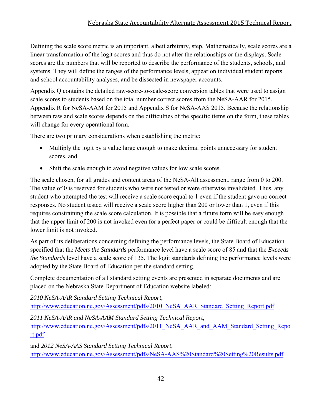### Nebraska State Accountability Alternate Assessment 2015 Technical Report

Defining the scale score metric is an important, albeit arbitrary, step. Mathematically, scale scores are a linear transformation of the logit scores and thus do not alter the relationships or the displays. Scale scores are the numbers that will be reported to describe the performance of the students, schools, and systems. They will define the ranges of the performance levels, appear on individual student reports and school accountability analyses, and be dissected in newspaper accounts.

Appendix Q contains the detailed raw-score-to-scale-score conversion tables that were used to assign scale scores to students based on the total number correct scores from the NeSA-AAR for 2015, Appendix R for NeSA-AAM for 2015 and Appendix S for NeSA-AAS 2015. Because the relationship between raw and scale scores depends on the difficulties of the specific items on the form, these tables will change for every operational form.

There are two primary considerations when establishing the metric:

- Multiply the logit by a value large enough to make decimal points unnecessary for student scores, and
- Shift the scale enough to avoid negative values for low scale scores.

The scale chosen, for all grades and content areas of the NeSA-Alt assessment, range from 0 to 200. The value of 0 is reserved for students who were not tested or were otherwise invalidated. Thus, any student who attempted the test will receive a scale score equal to 1 even if the student gave no correct responses. No student tested will receive a scale score higher than 200 or lower than 1, even if this requires constraining the scale score calculation. It is possible that a future form will be easy enough that the upper limit of 200 is not invoked even for a perfect paper or could be difficult enough that the lower limit is not invoked.

As part of its deliberations concerning defining the performance levels, the State Board of Education specified that the *Meets the Standards* performance level have a scale score of 85 and that the *Exceeds the Standards* level have a scale score of 135. The logit standards defining the performance levels were adopted by the State Board of Education per the standard setting.

Complete documentation of all standard setting events are presented in separate documents and are placed on the Nebraska State Department of Education website labeled:

*2010 NeSA-AAR Standard Setting Technical Report*, http://www.education.ne.gov/Assessment/pdfs/2010\_NeSA\_AAR\_Standard\_Setting\_Report.pdf

*2011 NeSA-AAR and NeSA-AAM Standard Setting Technical Report*, http://www.education.ne.gov/Assessment/pdfs/2011 NeSA AAR and AAM Standard Setting Repo rt.pdf

and *2012 NeSA-AAS Standard Setting Technical Report*, http://www.education.ne.gov/Assessment/pdfs/NeSA-AAS%20Standard%20Setting%20Results.pdf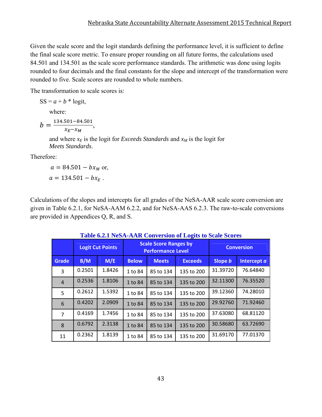Given the scale score and the logit standards defining the performance level, it is sufficient to define the final scale score metric. To ensure proper rounding on all future forms, the calculations used 84.501 and 134.501 as the scale score performance standards. The arithmetic was done using logits rounded to four decimals and the final constants for the slope and intercept of the transformation were rounded to five. Scale scores are rounded to whole numbers.

The transformation to scale scores is:

 $SS = a + b * logit,$ 

where:

 $b = \frac{134.501 - 84.501}{x_E - x_M},$ 

and where  $x_E$  is the logit for *Exceeds Standards* and  $x_M$  is the logit for *Meets Standards*.

Therefore:

 $a = 84.501 - bx_M$  or,  $a = 134.501 - bx_F$ .

Calculations of the slopes and intercepts for all grades of the NeSA-AAR scale score conversion are given in Table 6.2.1, for NeSA-AAM 6.2.2, and for NeSA-AAS 6.2.3. The raw-to-scale conversions are provided in Appendices Q, R, and S.

|                |        | <b>Logit Cut Points</b> |              | <b>Scale Score Ranges by</b><br><b>Performance Level</b> | <b>Conversion</b> |          |             |
|----------------|--------|-------------------------|--------------|----------------------------------------------------------|-------------------|----------|-------------|
| Grade          | B/M    | M/E                     | <b>Below</b> | <b>Meets</b>                                             | <b>Exceeds</b>    | Slope b  | Intercept a |
| 3              | 0.2501 | 1.8426                  | 1 to 84      | 85 to 134                                                | 135 to 200        | 31.39720 | 76.64840    |
| $\overline{4}$ | 0.2536 | 1.8106                  | 1 to 84      | 85 to 134                                                | 135 to 200        | 32.11300 | 76.35520    |
| 5              | 0.2612 | 1.5392                  | 1 to 84      | 85 to 134                                                | 135 to 200        | 39.12360 | 74.28010    |
| 6              | 0.4202 | 2.0909                  | 1 to 84      | 85 to 134                                                | 135 to 200        | 29.92760 | 71.92460    |
| $\overline{7}$ | 0.4169 | 1.7456                  | 1 to 84      | 85 to 134                                                | 135 to 200        | 37.63080 | 68.81120    |
| 8              | 0.6792 | 2.3138                  | 1 to 84      | 85 to 134                                                | 135 to 200        | 30.58680 | 63.72690    |
| 11             | 0.2362 | 1.8139                  | 1 to 84      | 85 to 134                                                | 135 to 200        | 31.69170 | 77.01370    |

**Table 6.2.1 NeSA-AAR Conversion of Logits to Scale Scores**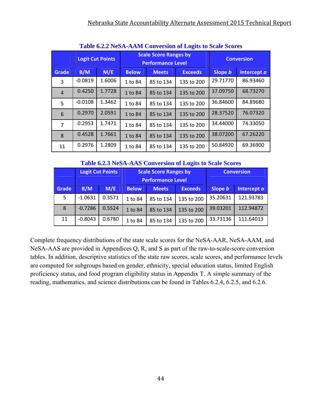|                | <u>Table 0.2.2 INCOA-AAMI COHVEISION OF LOGIES to beale Beofes</u> |                         |              |                                                          |                   |          |             |  |  |  |  |  |
|----------------|--------------------------------------------------------------------|-------------------------|--------------|----------------------------------------------------------|-------------------|----------|-------------|--|--|--|--|--|
|                |                                                                    | <b>Logit Cut Points</b> |              | <b>Scale Score Ranges by</b><br><b>Performance Level</b> | <b>Conversion</b> |          |             |  |  |  |  |  |
| Grade          | B/M                                                                | M/E                     | <b>Below</b> | <b>Meets</b>                                             | <b>Exceeds</b>    | Slope b  | Intercept a |  |  |  |  |  |
| 3              | $-0.0819$                                                          | 1.6006                  | 1 to 84      | 85 to 134                                                | 135 to 200        | 29.71770 | 86.93460    |  |  |  |  |  |
| $\overline{4}$ | 0.4250                                                             | 1.7728                  | 1 to 84      | 85 to 134                                                | 135 to 200        | 37.09750 | 68.73270    |  |  |  |  |  |
| 5              | $-0.0108$                                                          | 1.3462                  | 1 to 84      | 85 to 134                                                | 135 to 200        | 36.84600 | 84.89680    |  |  |  |  |  |
| 6              | 0.2970                                                             | 2.0591                  | 1 to 84      | 85 to 134                                                | 135 to 200        | 28.37520 | 76.07320    |  |  |  |  |  |
| 7              | 0.2953                                                             | 1.7471                  | 1 to 84      | 85 to 134                                                | 135 to 200        | 34.44000 | 74.33050    |  |  |  |  |  |
| 8              | 0.4528                                                             | 1.7661                  | 1 to 84      | 85 to 134                                                | 135 to 200        | 38.07200 | 67.26220    |  |  |  |  |  |
| 11             | 0.2976                                                             | 1.2809                  | 1 to 84      | 85 to 134                                                | 135 to 200        | 50.84920 | 69.36900    |  |  |  |  |  |

**Table 6.2.2 NeSA-AAM Conversion of Logits to Scale Scores**

#### **Table 6.2.3 NeSA-AAS Conversion of Logits to Scale Scores**

|       | <b>Logit Cut Points</b> |        |              | <b>Scale Score Ranges by</b> | <b>Conversion</b> |          |             |
|-------|-------------------------|--------|--------------|------------------------------|-------------------|----------|-------------|
|       |                         |        |              | <b>Performance Level</b>     |                   |          |             |
| Grade | B/M                     | M/E    | <b>Below</b> | <b>Meets</b>                 | <b>Exceeds</b>    | Slope b  | Intercept a |
| 5     | $-1.0631$               | 0.3571 | 1 to 84      | 85 to 134                    | 135 to 200        | 35.20631 | 121.93783   |
| 8     | $-0.7286$               | 0.5524 | 1 to 84      | 85 to 134                    | 135 to 200        | 39.03201 | 112.94872   |
| 11    | $-0.8043$               | 0.6780 | 1 to 84      | 85 to 134                    | 135 to 200        | 33.73136 | 111.64013   |

Complete frequency distributions of the state scale scores for the NeSA-AAR, NeSA-AAM, and NeSA-AAS are provided in Appendices Q, R, and S as part of the raw-to-scale-score conversion tables. In addition, descriptive statistics of the state raw scores, scale scores, and performance levels are computed for subgroups based on gender, ethnicity, special education status, limited English proficiency status, and food program eligibility status in Appendix T. A simple summary of the reading, mathematics, and science distributions can be found in Tables 6.2.4, 6.2.5, and 6.2.6.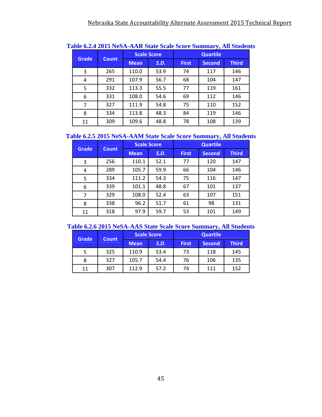| <b>Grade</b> |              |             | <b>Scale Score</b> | <b>Quartile</b> |               |              |  |
|--------------|--------------|-------------|--------------------|-----------------|---------------|--------------|--|
|              | <b>Count</b> | <b>Mean</b> | S.D.               | <b>First</b>    | <b>Second</b> | <b>Third</b> |  |
| 3            | 265          | 110.0       | 53.9               | 74              | 117           | 146          |  |
| 4            | 291          | 107.9       | 56.7               | 68              | 104           | 147          |  |
| 5            | 332          | 113.3       | 55.5               | 77              | 119           | 161          |  |
| 6            | 331          | 108.0       | 54.6               | 69              | 112           | 146          |  |
| 7            | 327          | 111.9       | 54.8               | 75              | 110           | 152          |  |
| 8            | 334          | 113.8       | 48.3               | 84              | 119           | 146          |  |
| 11           | 309          | 109.6       | 48.8               | 78              | 108           | 139          |  |

#### **Table 6.2.4 2015 NeSA-AAR State Scale Score Summary, All Students**

#### **Table 6.2.5 2015 NeSA-AAM State Scale Score Summary, All Students**

|              |              |             | <b>Scale Score</b> | <b>Quartile</b> |               |              |  |
|--------------|--------------|-------------|--------------------|-----------------|---------------|--------------|--|
| <b>Grade</b> | <b>Count</b> | <b>Mean</b> | S.D.               | <b>First</b>    | <b>Second</b> | <b>Third</b> |  |
| 3            | 256          | 110.1       | 52.1               | 77              | 120           | 147          |  |
| 4            | 289          | 105.7       | 59.9               | 66              | 104           | 146          |  |
| 5            | 334          | 111.2       | 54.3               | 75              | 116           | 147          |  |
| 6            | 339          | 101.1       | 48.8               | 67              | 101           | 137          |  |
| 7            | 329          | 108.0       | 52.4               | 63              | 107           | 151          |  |
| 8            | 338          | 96.2        | 51.7               | 61              | 98            | 131          |  |
| 11           | 318          | 97.9        | 59.7               | 53              | 101           | 149          |  |

#### **Table 6.2.6 2015 NeSA-AAS State Scale Score Summary, All Students**

| <b>Grade</b> | <b>Count</b> |             | <b>Scale Score</b> | <b>Quartile</b> |               |              |  |  |
|--------------|--------------|-------------|--------------------|-----------------|---------------|--------------|--|--|
|              |              | <b>Mean</b> | S.D.               | <b>First</b>    | <b>Second</b> | <b>Third</b> |  |  |
|              | 325          | 110.9       | 53.4               | 73              | 118           | 145          |  |  |
| 8            | 327          | 105.7       | 54.4               | 76              | 106           | 135          |  |  |
| 11           | 307          | 112.9       | 57.2               | 74              | 111           | 152          |  |  |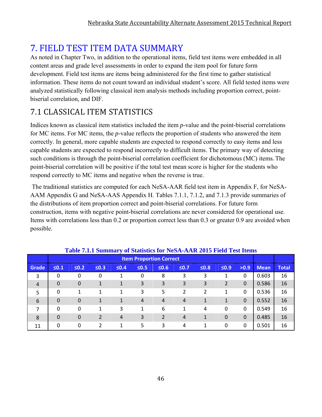# **7. FIELD TEST ITEM DATA SUMMARY**

As noted in Chapter Two, in addition to the operational items, field test items were embedded in all content areas and grade level assessments in order to expand the item pool for future form development. Field test items are items being administered for the first time to gather statistical information. These items do not count toward an individual student's score. All field tested items were analyzed statistically following classical item analysis methods including proportion correct, pointbiserial correlation, and DIF.

# 7.1 CLASSICAL ITEM STATISTICS

Indices known as classical item statistics included the item *p*-value and the point-biserial correlations for MC items. For MC items, the *p*-value reflects the proportion of students who answered the item correctly. In general, more capable students are expected to respond correctly to easy items and less capable students are expected to respond incorrectly to difficult items. The primary way of detecting such conditions is through the point-biserial correlation coefficient for dichotomous (MC) items. The point-biserial correlation will be positive if the total test mean score is higher for the students who respond correctly to MC items and negative when the reverse is true.

 The traditional statistics are computed for each NeSA-AAR field test item in Appendix F, for NeSA-AAM Appendix G and NeSA-AAS Appendix H. Tables 7.1.1, 7.1.2, and 7.1.3 provide summaries of the distributions of item proportion correct and point-biserial correlations. For future form construction, items with negative point-biserial correlations are never considered for operational use. Items with correlations less than 0.2 or proportion correct less than 0.3 or greater 0.9 are avoided when possible.

|                |            |                |                |            | Table 7.1.1 Summary of Statistics for NeSA-AAR 2015 Field Test Items |                |        |            |            |          |             |              |
|----------------|------------|----------------|----------------|------------|----------------------------------------------------------------------|----------------|--------|------------|------------|----------|-------------|--------------|
|                |            |                |                |            | <b>Item Proportion Correct</b>                                       |                |        |            |            |          |             |              |
| Grade          | $\leq 0.1$ | $\leq 0.2$     | $\leq 0.3$     | $\leq 0.4$ | $\leq 0.5$                                                           | $\leq 0.6$     | $≤0.7$ | $\leq 0.8$ | $\leq 0.9$ | >0.9     | <b>Mean</b> | <b>Total</b> |
| 3              | 0          | 0              | 0              |            | 0                                                                    | 8              | 3      | 3          |            | 0        | 0.603       | 16           |
| $\overline{4}$ | 0          | $\overline{0}$ | 1              |            | 3                                                                    | 3              | 3      | 3          | 2          | $\Omega$ | 0.586       | 16           |
| 5              | 0          | 1              | 1              | 1          | 3                                                                    | 5              | 2      | 2          | 1          | $\Omega$ | 0.536       | 16           |
| 6              | $\Omega$   | $\overline{0}$ | 1              |            | 4                                                                    | 4              | 4      |            | 1          | $\Omega$ | 0.552       | 16           |
| 7              | $\Omega$   | 0              | 1              | 3          |                                                                      | 6              |        | 4          | 0          | $\Omega$ | 0.549       | 16           |
| 8              | $\Omega$   | 0              | $\overline{2}$ | 4          | 3                                                                    | $\overline{2}$ | 4      | 1          | 0          | $\Omega$ | 0.485       | 16           |
| 11             | 0          | 0              | 2              | 1          | 5                                                                    | 3              | 4      | 1          | 0          | $\Omega$ | 0.501       | 16           |

#### **Table 7.1.1 Summary of Statistics for NeSA-AAR 2015 Field Test Items**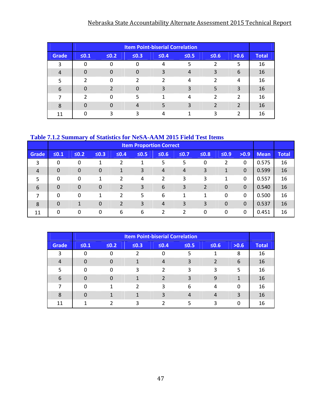### Nebraska State Accountability Alternate Assessment 2015 Technical Report

|                |            |            |               | <b>Item Point-biserial Correlation</b> |            |               |                |              |
|----------------|------------|------------|---------------|----------------------------------------|------------|---------------|----------------|--------------|
| Grade          | $\leq 0.1$ | $\leq 0.2$ | $\leq 0.3$    | $\leq 0.4$                             | $\leq 0.5$ | $\leq 0.6$    | >0.6           | <b>Total</b> |
| 3              |            | 0          | O             | 4                                      | 5          |               | 5              | 16           |
| $\overline{4}$ |            | 0          | 0             | 3                                      | 4          | 3             | 6              | 16           |
| 5              | 2          | $\Omega$   | $\mathcal{P}$ | $\mathfrak{p}$                         | 4          | $\mathfrak z$ | 4              | 16           |
| 6              |            |            | 0             | 3                                      | ξ          | 5             | 3              | 16           |
| 7              | າ          | O          | 5             | 1                                      | 4          | $\mathcal{P}$ | $\mathfrak{p}$ | 16           |
| 8              |            | O          | 4             | 5                                      | ς          |               | 2              | 16           |
| 11             |            | ς          |               | 4                                      |            | 3             | 2              | 16           |

### **Table 7.1.2 Summary of Statistics for NeSA-AAM 2015 Field Test Items**

|                |                |                |                  |                | <b>Item Proportion Correct</b> |                |                |                |             |              |             |              |
|----------------|----------------|----------------|------------------|----------------|--------------------------------|----------------|----------------|----------------|-------------|--------------|-------------|--------------|
| <b>Grade</b>   | $\leq 0.1$     | $≤0.2$         | $\leq 0.3$       | $≤0.4$         | $\leq 0.5$                     | $\leq 0.6$     | $≤0.7$         | $\leq 0.8$     | $\leq 0.9$  | >0.9         | <b>Mean</b> | <b>Total</b> |
| 3              | 0              | 0              |                  | 2              |                                | 5              | 5              | $\mathbf 0$    | 2           | 0            | 0.575       | 16           |
| $\overline{4}$ | $\overline{0}$ | 0              | $\boldsymbol{0}$ | 1              | 3                              | $\overline{4}$ | $\overline{4}$ | 3              | 1           | $\mathbf{0}$ | 0.599       | 16           |
| 5              | 0              | 0              | 1                | 2              | 4                              | 2              | 3              | 3              | 1           | 0            | 0.557       | 16           |
| 6              | $\mathbf 0$    | $\overline{0}$ | $\mathbf 0$      | 2              | 3                              | 6              | 3              | $\overline{2}$ | $\mathbf 0$ | $\mathbf 0$  | 0.540       | 16           |
| 7              | 0              | 0              | 1                | 2              | 5                              | 6              | 1              | 1              | 0           | 0            | 0.500       | 16           |
| 8              | $\mathbf 0$    | 1              | $\mathbf 0$      | $\overline{2}$ | 3                              | $\overline{4}$ | 3              | 3              | $\mathbf 0$ | $\mathbf 0$  | 0.537       | 16           |
| 11             | 0              | 0              | 0                | 6              | 6                              | 2              | 2              | 0              | 0           | $\Omega$     | 0.451       | 16           |

|                |            |            |            | <b>Item Point-biserial Correlation</b> |            |                |          |              |
|----------------|------------|------------|------------|----------------------------------------|------------|----------------|----------|--------------|
| Grade          | $\leq 0.1$ | $\leq 0.2$ | $\leq 0.3$ | $\leq 0.4$                             | $\leq 0.5$ | $\leq 0.6$     | >0.6     | <b>Total</b> |
| 3              |            |            |            | 0                                      |            |                | 8        | 16           |
| $\overline{4}$ | $\Omega$   |            |            | 4                                      | 3          | $\overline{2}$ | 6        | 16           |
| 5              | n          |            | 3          | $\mathfrak{p}$                         | 3          | 3              | 5        | 16           |
| 6              |            |            |            | っ                                      | ς          | 9              |          | 16           |
|                | n          |            | 2          | 3                                      | 6          | 4              | $\Omega$ | 16           |
| 8              | O          |            |            | 3                                      | 4          | 4              | 3        | 16           |
| 11             |            |            | ς          |                                        |            | 3              | 0        | 16           |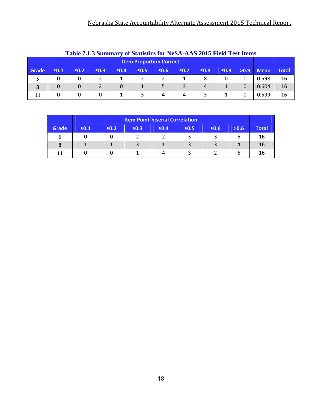|       | <b>Table 7.1.3 Summary of Statistics for NeSA-AAS 2015 Field Test Items</b> |                                |            |            |            |             |            |            |            |      |             |       |  |
|-------|-----------------------------------------------------------------------------|--------------------------------|------------|------------|------------|-------------|------------|------------|------------|------|-------------|-------|--|
|       |                                                                             | <b>Item Proportion Correct</b> |            |            |            |             |            |            |            |      |             |       |  |
| Grade | $\leq 0.1$                                                                  | $\leq 0.2$                     | $\leq 0.3$ | $\leq 0.4$ | $\leq 0.5$ | <b>SO.6</b> | $\leq 0.7$ | $\leq 0.8$ | $\leq 0.9$ | >0.9 | <b>Mean</b> | Total |  |
|       |                                                                             |                                |            |            |            |             |            |            |            |      | 0.598       | 16    |  |
| 8     | $\Omega$                                                                    | 0                              |            | $\Omega$   |            |             |            | 4          |            |      | 0.604       | 16    |  |
| 11    |                                                                             | 0                              | 0          |            |            |             |            |            |            |      | 0.599       | 16    |  |

|       |            |            |            | <b>Item Point-biserial Correlation</b> |            |            |      |              |
|-------|------------|------------|------------|----------------------------------------|------------|------------|------|--------------|
| Grade | $\leq 0.1$ | $\leq 0.2$ | $\leq 0.3$ | $\leq 0.4$                             | $\leq 0.5$ | $\leq 0.6$ | >0.6 | <b>Total</b> |
|       |            |            |            |                                        |            |            |      | 16           |
| 8     |            |            | ર          |                                        |            |            |      | 16           |
| 11    |            |            |            |                                        |            |            |      | 16           |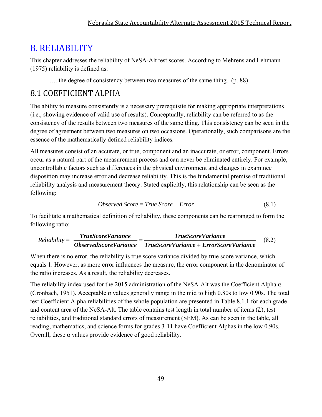# 8. RELIABILITY

This chapter addresses the reliability of NeSA-Alt test scores. According to Mehrens and Lehmann (1975) reliability is defined as:

…. the degree of consistency between two measures of the same thing. (p. 88).

# 8.1 COEFFICIENT ALPHA

The ability to measure consistently is a necessary prerequisite for making appropriate interpretations (i.e., showing evidence of valid use of results). Conceptually, reliability can be referred to as the consistency of the results between two measures of the same thing. This consistency can be seen in the degree of agreement between two measures on two occasions. Operationally, such comparisons are the essence of the mathematically defined reliability indices.

All measures consist of an accurate, or true, component and an inaccurate, or error, component. Errors occur as a natural part of the measurement process and can never be eliminated entirely. For example, uncontrollable factors such as differences in the physical environment and changes in examinee disposition may increase error and decrease reliability. This is the fundamental premise of traditional reliability analysis and measurement theory. Stated explicitly, this relationship can be seen as the following:

$$
Observed Score = True Score + Error
$$
\n
$$
(8.1)
$$

To facilitate a mathematical definition of reliability, these components can be rearranged to form the following ratio:

$$
Reliability = \frac{TrueScoreVariance}{ObservedScoreVariance} = \frac{TrueScoreVariance}{TrueScoreVariance + ErrorScoreVariance}
$$
(8.2)

When there is no error, the reliability is true score variance divided by true score variance, which equals 1. However, as more error influences the measure, the error component in the denominator of the ratio increases. As a result, the reliability decreases.

The reliability index used for the 2015 administration of the NeSA-Alt was the Coefficient Alpha  $\alpha$ (Cronbach, 1951). Acceptable α values generally range in the mid to high 0.80s to low 0.90s. The total test Coefficient Alpha reliabilities of the whole population are presented in Table 8.1.1 for each grade and content area of the NeSA-Alt. The table contains test length in total number of items (*L*), test reliabilities, and traditional standard errors of measurement (SEM). As can be seen in the table, all reading, mathematics, and science forms for grades 3-11 have Coefficient Alphas in the low 0.90s. Overall, these α values provide evidence of good reliability.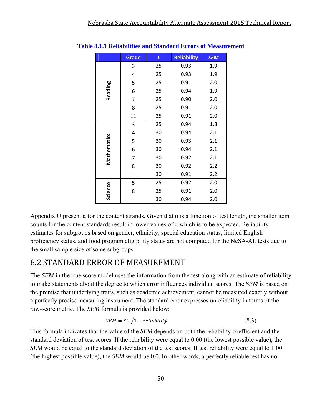|             | <b>Grade</b> | L  | <b>Reliability</b> | <b>SEM</b> |
|-------------|--------------|----|--------------------|------------|
|             | 3            | 25 | 0.93               | 1.9        |
|             | 4            | 25 | 0.93               | 1.9        |
|             | 5            | 25 | 0.91               | 2.0        |
| Reading     | 6            | 25 | 0.94               | 1.9        |
|             | 7            | 25 | 0.90               | 2.0        |
|             | 8            | 25 | 0.91               | 2.0        |
|             | 11           | 25 | 0.91               | 2.0        |
|             | 3            | 25 | 0.94               | 1.8        |
|             | 4            | 30 | 0.94               | 2.1        |
| Mathematics | 5            | 30 | 0.93               | 2.1        |
|             | 6            | 30 | 0.94               | 2.1        |
|             | 7            | 30 | 0.92               | 2.1        |
|             | 8            | 30 | 0.92               | 2.2        |
|             | 11           | 30 | 0.91               | 2.2        |
|             | 5            | 25 | 0.92               | 2.0        |
| Science     | 8            | 25 | 0.91               | 2.0        |
|             | 11           | 30 | 0.94               | 2.0        |

#### **Table 8.1.1 Reliabilities and Standard Errors of Measurement**

Appendix U present  $\alpha$  for the content strands. Given that  $\alpha$  is a function of test length, the smaller item counts for the content standards result in lower values of  $\alpha$  which is to be expected. Reliability estimates for subgroups based on gender, ethnicity, special education status, limited English proficiency status, and food program eligibility status are not computed for the NeSA-Alt tests due to the small sample size of some subgroups.

### 8.2 STANDARD ERROR OF MEASUREMENT

The *SEM* in the true score model uses the information from the test along with an estimate of reliability to make statements about the degree to which error influences individual scores. The *SEM* is based on the premise that underlying traits, such as academic achievement, cannot be measured exactly without a perfectly precise measuring instrument. The standard error expresses unreliability in terms of the raw-score metric. The *SEM* formula is provided below:

$$
SEM = SD\sqrt{1 - reliability}.
$$
\n(8.3)

This formula indicates that the value of the *SEM* depends on both the reliability coefficient and the standard deviation of test scores. If the reliability were equal to 0.00 (the lowest possible value), the *SEM* would be equal to the standard deviation of the test scores. If test reliability were equal to 1.00 (the highest possible value), the *SEM* would be 0.0. In other words, a perfectly reliable test has no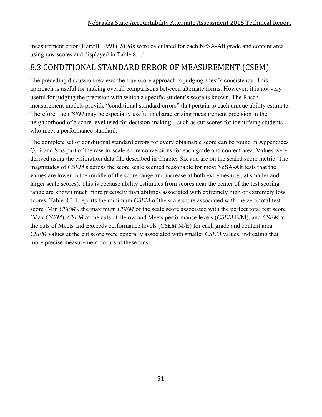measurement error (Harvill, 1991). *SEM*s were calculated for each NeSA-Alt grade and content area using raw scores and displayed in Table 8.1.1.

### 8.3 CONDITIONAL STANDARD ERROR OF MEASUREMENT (CSEM)

The preceding discussion reviews the true score approach to judging a test's consistency. This approach is useful for making overall comparisons between alternate forms. However, it is not very useful for judging the precision with which a specific student's score is known. The Rasch measurement models provide "conditional standard errors" that pertain to each unique ability estimate. Therefore, the *CSEM* may be especially useful in characterizing measurement precision in the neighborhood of a score level used for decision-making—such as cut scores for identifying students who meet a performance standard.

The complete set of conditional standard errors for every obtainable score can be found in Appendices Q, R and S as part of the raw-to-scale-score conversions for each grade and content area. Values were derived using the calibration data file described in Chapter Six and are on the scaled score metric. The magnitudes of *CSEM* s across the score scale seemed reasonable for most NeSA-Alt tests that the values are lower in the middle of the score range and increase at both extremes (i.e., at smaller and larger scale scores). This is because ability estimates from scores near the center of the test scoring range are known much more precisely than abilities associated with extremely high or extremely low scores. Table 8.3.1 reports the minimum *CSEM* of the scale score associated with the zero total test score (Min *CSEM*), the maximum *CSEM* of the scale score associated with the perfect total test score (Max *CSEM*), *CSEM* at the cuts of Below and Meets performance levels (*CSEM* B/M), and *CSEM* at the cuts of Meets and Exceeds performance levels (*CSEM* M/E) for each grade and content area. *CSEM* values at the cut score were generally associated with smaller *CSEM* values, indicating that more precise measurement occurs at these cuts.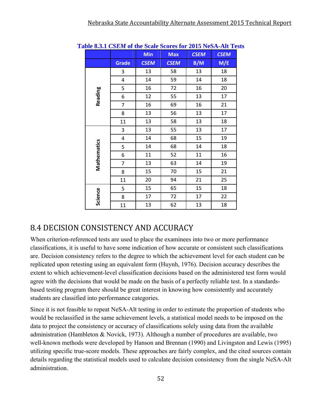|             |                         | <b>Min</b>  | Max         | <b>CSEM</b> | <b>CSEM</b> |
|-------------|-------------------------|-------------|-------------|-------------|-------------|
|             | <b>Grade</b>            | <b>CSEM</b> | <b>CSEM</b> | B/M         | M/E         |
|             | 3                       | 13          | 58          | 13          | 18          |
|             | 4                       | 14          | 59          | 14          | 18          |
|             | 5                       | 16          | 72          | 16          | 20          |
| Reading     | 6                       | 12          | 55          | 13          | 17          |
|             | $\overline{7}$          | 16          | 69          | 16          | 21          |
|             | 8                       | 13          | 56          | 13          | 17          |
|             | 11                      | 13          | 58          | 13          | 18          |
|             | 3                       | 13          | 55          | 13          | 17          |
|             | $\overline{\mathbf{4}}$ | 14          | 68          | 15          | 19          |
|             | 5                       | 14          | 68          | 14          | 18          |
| Mathematics | 6                       | 11          | 52          | 11          | 16          |
|             | 7                       | 13          | 63          | 14          | 19          |
|             | 8                       | 15          | 70          | 15          | 21          |
|             | 11                      | 20          | 94          | 21          | 25          |
|             | 5                       | 15          | 65          | 15          | 18          |
| Science     | 8                       | 17          | 72          | 17          | 22          |
|             | 11                      | 13          | 62          | 13          | 18          |

**Table 8.3.1** *CSEM* **of the Scale Scores for 2015 NeSA-Alt Tests** 

# 8.4 DECISION CONSISTENCY AND ACCURACY

When criterion-referenced tests are used to place the examinees into two or more performance classifications, it is useful to have some indication of how accurate or consistent such classifications are. Decision consistency refers to the degree to which the achievement level for each student can be replicated upon retesting using an equivalent form (Huynh, 1976). Decision accuracy describes the extent to which achievement-level classification decisions based on the administered test form would agree with the decisions that would be made on the basis of a perfectly reliable test. In a standardsbased testing program there should be great interest in knowing how consistently and accurately students are classified into performance categories.

Since it is not feasible to repeat NeSA-Alt testing in order to estimate the proportion of students who would be reclassified in the same achievement levels, a statistical model needs to be imposed on the data to project the consistency or accuracy of classifications solely using data from the available administration (Hambleton & Novick, 1973). Although a number of procedures are available, two well-known methods were developed by Hanson and Brennan (1990) and Livingston and Lewis (1995) utilizing specific true-score models. These approaches are fairly complex, and the cited sources contain details regarding the statistical models used to calculate decision consistency from the single NeSA-Alt administration.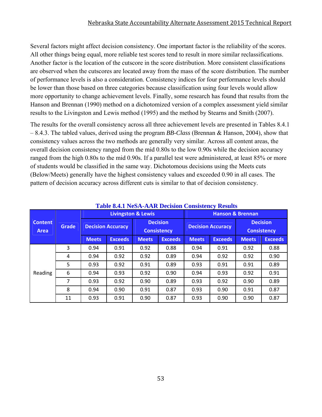#### Nebraska State Accountability Alternate Assessment 2015 Technical Report

Several factors might affect decision consistency. One important factor is the reliability of the scores. All other things being equal, more reliable test scores tend to result in more similar reclassifications. Another factor is the location of the cutscore in the score distribution. More consistent classifications are observed when the cutscores are located away from the mass of the score distribution. The number of performance levels is also a consideration. Consistency indices for four performance levels should be lower than those based on three categories because classification using four levels would allow more opportunity to change achievement levels. Finally, some research has found that results from the Hanson and Brennan (1990) method on a dichotomized version of a complex assessment yield similar results to the Livingston and Lewis method (1995) and the method by Stearns and Smith (2007).

The results for the overall consistency across all three achievement levels are presented in Tables 8.4.1 – 8.4.3. The tabled values, derived using the program *BB-Class* (Brennan & Hanson, 2004), show that consistency values across the two methods are generally very similar. Across all content areas, the overall decision consistency ranged from the mid 0.80s to the low 0.90s while the decision accuracy ranged from the high 0.80s to the mid 0.90s. If a parallel test were administered, at least 85% or more of students would be classified in the same way. Dichotomous decisions using the Meets cuts (Below/Meets) generally have the highest consistency values and exceeded 0.90 in all cases. The pattern of decision accuracy across different cuts is similar to that of decision consistency.

|                               | Grade |                          | <b>Livingston &amp; Lewis</b> |                                       |                | <b>Hanson &amp; Brennan</b> |                          |                                       |                |  |  |
|-------------------------------|-------|--------------------------|-------------------------------|---------------------------------------|----------------|-----------------------------|--------------------------|---------------------------------------|----------------|--|--|
| <b>Content</b><br><b>Area</b> |       | <b>Decision Accuracy</b> |                               | <b>Decision</b><br><b>Consistency</b> |                |                             | <b>Decision Accuracy</b> | <b>Decision</b><br><b>Consistency</b> |                |  |  |
|                               |       | <b>Meets</b>             | <b>Exceeds</b>                | <b>Meets</b>                          | <b>Exceeds</b> | <b>Meets</b>                | <b>Exceeds</b>           | <b>Meets</b>                          | <b>Exceeds</b> |  |  |
|                               | 3     | 0.94                     | 0.91                          | 0.92                                  | 0.88           | 0.94                        | 0.91                     | 0.92                                  | 0.88           |  |  |
|                               | 4     | 0.94                     | 0.92                          | 0.92                                  | 0.89           | 0.94                        | 0.92                     | 0.92                                  | 0.90           |  |  |
|                               | 5     | 0.93                     | 0.92                          | 0.91                                  | 0.89           | 0.93                        | 0.91                     | 0.91                                  | 0.89           |  |  |
| Reading                       | 6     | 0.94                     | 0.93                          | 0.92                                  | 0.90           | 0.94                        | 0.93                     | 0.92                                  | 0.91           |  |  |
|                               | 7     | 0.93                     | 0.92                          | 0.90                                  | 0.89           | 0.93                        | 0.92                     | 0.90                                  | 0.89           |  |  |
|                               | 8     | 0.94                     | 0.90                          | 0.91                                  | 0.87           | 0.93                        | 0.90                     | 0.91                                  | 0.87           |  |  |
|                               | 11    | 0.93                     | 0.91                          | 0.90                                  | 0.87           | 0.93                        | 0.90                     | 0.90                                  | 0.87           |  |  |

#### **Table 8.4.1 NeSA-AAR Decision Consistency Results**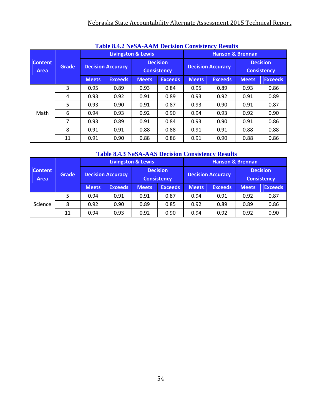### Nebraska State Accountability Alternate Assessment 2015 Technical Report

|                        | <b>Table 6.4.2 INESA-AAINI DECISION CONSISTENCY RESULTS</b> |                          |                |                                       |                |                             |                          |                                       |                |  |  |  |  |
|------------------------|-------------------------------------------------------------|--------------------------|----------------|---------------------------------------|----------------|-----------------------------|--------------------------|---------------------------------------|----------------|--|--|--|--|
|                        |                                                             |                          |                | <b>Livingston &amp; Lewis</b>         |                | <b>Hanson &amp; Brennan</b> |                          |                                       |                |  |  |  |  |
| <b>Content</b><br>Area | <b>Grade</b>                                                | <b>Decision Accuracy</b> |                | <b>Decision</b><br><b>Consistency</b> |                |                             | <b>Decision Accuracy</b> | <b>Decision</b><br><b>Consistency</b> |                |  |  |  |  |
|                        |                                                             | <b>Meets</b>             | <b>Exceeds</b> | <b>Meets</b>                          | <b>Exceeds</b> | <b>Meets</b>                | <b>Exceeds</b>           | <b>Meets</b>                          | <b>Exceeds</b> |  |  |  |  |
|                        | 3                                                           | 0.95                     | 0.89           | 0.93                                  | 0.84           | 0.95                        | 0.89                     | 0.93                                  | 0.86           |  |  |  |  |
|                        | 4                                                           | 0.93                     | 0.92           | 0.91                                  | 0.89           | 0.93                        | 0.92                     | 0.91                                  | 0.89           |  |  |  |  |
|                        | 5                                                           | 0.93                     | 0.90           | 0.91                                  | 0.87           | 0.93                        | 0.90                     | 0.91                                  | 0.87           |  |  |  |  |
| Math                   | 6                                                           | 0.94                     | 0.93           | 0.92                                  | 0.90           | 0.94                        | 0.93                     | 0.92                                  | 0.90           |  |  |  |  |
|                        | 7                                                           | 0.93                     | 0.89           | 0.91                                  | 0.84           | 0.93                        | 0.90                     | 0.91                                  | 0.86           |  |  |  |  |
|                        | 8                                                           | 0.91                     | 0.91           | 0.88                                  | 0.88           | 0.91                        | 0.91                     | 0.88                                  | 0.88           |  |  |  |  |
|                        | 11                                                          | 0.91                     | 0.90           | 0.88                                  | 0.86           | 0.91                        | 0.90                     | 0.88                                  | 0.86           |  |  |  |  |

### **Table 8.4.2 NeSA-AAM Decision Consistency Results**

### **Table 8.4.3 NeSA-AAS Decision Consistency Results**

|                               | Grade |                          |                | Livingston & Lewis                    |                | <b>Hanson &amp; Brennan</b> |                |                                       |                |  |
|-------------------------------|-------|--------------------------|----------------|---------------------------------------|----------------|-----------------------------|----------------|---------------------------------------|----------------|--|
| <b>Content</b><br><b>Area</b> |       | <b>Decision Accuracy</b> |                | <b>Decision</b><br><b>Consistency</b> |                | <b>Decision Accuracy</b>    |                | <b>Decision</b><br><b>Consistency</b> |                |  |
|                               |       | <b>Meets</b>             | <b>Exceeds</b> | <b>Meets</b>                          | <b>Exceeds</b> | <b>Meets</b>                | <b>Exceeds</b> | <b>Meets</b>                          | <b>Exceeds</b> |  |
|                               | 5     | 0.94                     | 0.91           | 0.91                                  | 0.87           | 0.94                        | 0.91           | 0.92                                  | 0.87           |  |
| Science                       | 8     | 0.92                     | 0.90           | 0.89                                  | 0.85           | 0.92                        | 0.89           | 0.89                                  | 0.86           |  |
|                               | 11    | 0.94                     | 0.93           | 0.92                                  | 0.90           | 0.94                        | 0.92           | 0.92                                  | 0.90           |  |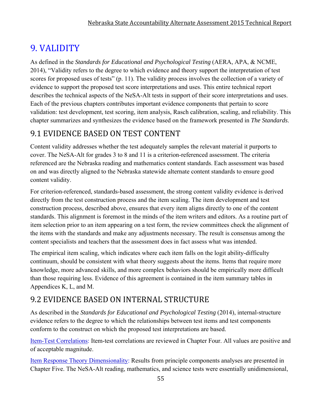# 9. VALIDITY

As defined in the *Standards for Educational and Psychological Testing* (AERA, APA, & NCME, 2014), "Validity refers to the degree to which evidence and theory support the interpretation of test scores for proposed uses of tests" (p. 11). The validity process involves the collection of a variety of evidence to support the proposed test score interpretations and uses. This entire technical report describes the technical aspects of the NeSA-Alt tests in support of their score interpretations and uses. Each of the previous chapters contributes important evidence components that pertain to score validation: test development, test scoring, item analysis, Rasch calibration, scaling, and reliability. This chapter summarizes and synthesizes the evidence based on the framework presented in *The Standards*.

# 9.1 EVIDENCE BASED ON TEST CONTENT

Content validity addresses whether the test adequately samples the relevant material it purports to cover. The NeSA-Alt for grades 3 to 8 and 11 is a criterion-referenced assessment. The criteria referenced are the Nebraska reading and mathematics content standards. Each assessment was based on and was directly aligned to the Nebraska statewide alternate content standards to ensure good content validity.

For criterion-referenced, standards-based assessment, the strong content validity evidence is derived directly from the test construction process and the item scaling. The item development and test construction process, described above, ensures that every item aligns directly to one of the content standards. This alignment is foremost in the minds of the item writers and editors. As a routine part of item selection prior to an item appearing on a test form, the review committees check the alignment of the items with the standards and make any adjustments necessary. The result is consensus among the content specialists and teachers that the assessment does in fact assess what was intended.

The empirical item scaling, which indicates where each item falls on the logit ability-difficulty continuum, should be consistent with what theory suggests about the items. Items that require more knowledge, more advanced skills, and more complex behaviors should be empirically more difficult than those requiring less. Evidence of this agreement is contained in the item summary tables in Appendices K, L, and M.

# 9.2 EVIDENCE BASED ON INTERNAL STRUCTURE

As described in the *Standards for Educational and Psychological Testing* (2014), internal-structure evidence refers to the degree to which the relationships between test items and test components conform to the construct on which the proposed test interpretations are based.

Item-Test Correlations: Item-test correlations are reviewed in Chapter Four. All values are positive and of acceptable magnitude.

Item Response Theory Dimensionality: Results from principle components analyses are presented in Chapter Five. The NeSA-Alt reading, mathematics, and science tests were essentially unidimensional,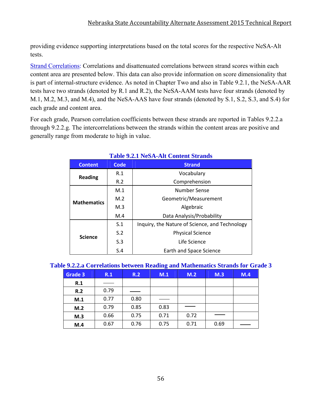providing evidence supporting interpretations based on the total scores for the respective NeSA-Alt tests.

Strand Correlations: Correlations and disattenuated correlations between strand scores within each content area are presented below. This data can also provide information on score dimensionality that is part of internal-structure evidence. As noted in Chapter Two and also in Table 9.2.1, the NeSA-AAR tests have two strands (denoted by R.1 and R.2), the NeSA-AAM tests have four strands (denoted by M.1, M.2, M.3, and M.4), and the NeSA-AAS have four strands (denoted by S.1, S.2, S.3, and S.4) for each grade and content area.

For each grade, Pearson correlation coefficients between these strands are reported in Tables 9.2.2.a through 9.2.2.g. The intercorrelations between the strands within the content areas are positive and generally range from moderate to high in value.

| <b>Content</b>     | Code           | <b>Strand</b>                                  |  |  |  |  |
|--------------------|----------------|------------------------------------------------|--|--|--|--|
| <b>Reading</b>     | R.1            | Vocabulary                                     |  |  |  |  |
|                    | R.2            | Comprehension                                  |  |  |  |  |
|                    | M.1            | Number Sense                                   |  |  |  |  |
| <b>Mathematics</b> | M.2            | Geometric/Measurement                          |  |  |  |  |
|                    | M <sub>3</sub> | Algebraic                                      |  |  |  |  |
|                    | M.4            | Data Analysis/Probability                      |  |  |  |  |
|                    | S.1            | Inquiry, the Nature of Science, and Technology |  |  |  |  |
|                    | S.2            | <b>Physical Science</b>                        |  |  |  |  |
| <b>Science</b>     | S.3            | Life Science                                   |  |  |  |  |
|                    | S.4            | Earth and Space Science                        |  |  |  |  |

### **Table 9.2.1 NeSA-Alt Content Strands**

| Grade 3 | R.1  | R.2  | $\sim$<br>M.1 | M.2  | M.3  | M.4 |
|---------|------|------|---------------|------|------|-----|
| R.1     |      |      |               |      |      |     |
| R.2     | 0.79 |      |               |      |      |     |
| M.1     | 0.77 | 0.80 |               |      |      |     |
| M.2     | 0.79 | 0.85 | 0.83          |      |      |     |
| M.3     | 0.66 | 0.75 | 0.71          | 0.72 |      |     |
| M.4     | 0.67 | 0.76 | 0.75          | 0.71 | 0.69 |     |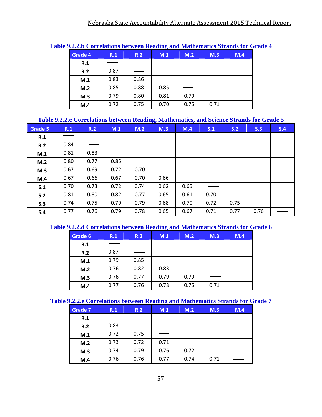|                |      |      | --- 0 |      |      |     |
|----------------|------|------|-------|------|------|-----|
| <b>Grade 4</b> | R.1  | R.2  | M.1   | M.2  | M.3  | M.4 |
| R.1            |      |      |       |      |      |     |
| R.2            | 0.87 |      |       |      |      |     |
| M.1            | 0.83 | 0.86 |       |      |      |     |
| M.2            | 0.85 | 0.88 | 0.85  |      |      |     |
| M.3            | 0.79 | 0.80 | 0.81  | 0.79 |      |     |
| M.4            | 0.72 | 0.75 | 0.70  | 0.75 | 0.71 |     |

#### **Table 9.2.2.b Correlations between Reading and Mathematics Strands for Grade 4**

#### **Table 9.2.2.c Correlations between Reading, Mathematics, and Science Strands for Grade 5**

| Grade 5 | R.1  | R.2  | M.1  | M.2  | ັ<br>M.3 | $\sim$<br>M.4 | S.1  | S.2  | S.3  | S.4 |
|---------|------|------|------|------|----------|---------------|------|------|------|-----|
| R.1     |      |      |      |      |          |               |      |      |      |     |
| R.2     | 0.84 |      |      |      |          |               |      |      |      |     |
| M.1     | 0.81 | 0.83 |      |      |          |               |      |      |      |     |
| M.2     | 0.80 | 0.77 | 0.85 |      |          |               |      |      |      |     |
| M.3     | 0.67 | 0.69 | 0.72 | 0.70 |          |               |      |      |      |     |
| M.4     | 0.67 | 0.66 | 0.67 | 0.70 | 0.66     |               |      |      |      |     |
| S.1     | 0.70 | 0.73 | 0.72 | 0.74 | 0.62     | 0.65          |      |      |      |     |
| S.2     | 0.81 | 0.80 | 0.82 | 0.77 | 0.65     | 0.61          | 0.70 |      |      |     |
| S.3     | 0.74 | 0.75 | 0.79 | 0.79 | 0.68     | 0.70          | 0.72 | 0.75 |      |     |
| S.4     | 0.77 | 0.76 | 0.79 | 0.78 | 0.65     | 0.67          | 0.71 | 0.77 | 0.76 |     |

#### **Table 9.2.2.d Correlations between Reading and Mathematics Strands for Grade 6**

| Grade 6 | R.1  | R.2  | M.1  | M.2  | M.3  | M.4 |
|---------|------|------|------|------|------|-----|
| R.1     |      |      |      |      |      |     |
| R.2     | 0.87 |      |      |      |      |     |
| M.1     | 0.79 | 0.85 |      |      |      |     |
| M.2     | 0.76 | 0.82 | 0.83 |      |      |     |
| M.3     | 0.76 | 0.77 | 0.79 | 0.79 |      |     |
| M.4     | 0.77 | 0.76 | 0.78 | 0.75 | 0.71 |     |

#### **Table 9.2.2.e Correlations between Reading and Mathematics Strands for Grade 7**

| <b>Grade 7</b> | R.1  | R.2  | M.1  | M.2  | M.3  | M.4 |
|----------------|------|------|------|------|------|-----|
| R.1            |      |      |      |      |      |     |
| R.2            | 0.83 |      |      |      |      |     |
| M.1            | 0.72 | 0.75 |      |      |      |     |
| M.2            | 0.73 | 0.72 | 0.71 |      |      |     |
| M.3            | 0.74 | 0.79 | 0.76 | 0.72 |      |     |
| M.4            | 0.76 | 0.76 | 0.77 | 0.74 | 0.71 |     |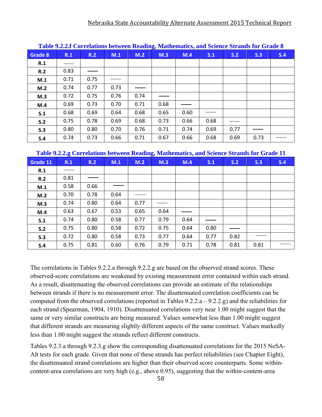|         | Table 9.2.2.1 Correlations between Reading, Mathematics, and Science Strands for Grade 6 |      |      |      |      |      |      |      |      |     |  |  |
|---------|------------------------------------------------------------------------------------------|------|------|------|------|------|------|------|------|-----|--|--|
| Grade 8 | R.1                                                                                      | R.2  | M.1  | M.2  | M.3  | M.4  | S.1  | S.2  | S.3  | S.4 |  |  |
| R.1     |                                                                                          |      |      |      |      |      |      |      |      |     |  |  |
| R.2     | 0.83                                                                                     |      |      |      |      |      |      |      |      |     |  |  |
| M.1     | 0.71                                                                                     | 0.75 |      |      |      |      |      |      |      |     |  |  |
| M.2     | 0.74                                                                                     | 0.77 | 0.73 |      |      |      |      |      |      |     |  |  |
| M.3     | 0.72                                                                                     | 0.75 | 0.76 | 0.74 |      |      |      |      |      |     |  |  |
| M.4     | 0.69                                                                                     | 0.73 | 0.70 | 0.71 | 0.68 |      |      |      |      |     |  |  |
| S.1     | 0.68                                                                                     | 0.69 | 0.64 | 0.68 | 0.65 | 0.60 |      |      |      |     |  |  |
| S.2     | 0.75                                                                                     | 0.78 | 0.69 | 0.68 | 0.73 | 0.66 | 0.68 |      |      |     |  |  |
| S.3     | 0.80                                                                                     | 0.80 | 0.70 | 0.76 | 0.71 | 0.74 | 0.69 | 0.77 |      |     |  |  |
| S.4     | 0.74                                                                                     | 0.73 | 0.66 | 0.71 | 0.67 | 0.66 | 0.68 | 0.69 | 0.73 |     |  |  |

**Table 9.2.2.f Correlations between Reading, Mathematics, and Science Strands for Grade 8**

| Grade 11 | R.1  | R.2  | M.1  | M.2  | M.3  | M.4  | S.1  | S.2  | S.3  | S.4 |
|----------|------|------|------|------|------|------|------|------|------|-----|
| R.1      |      |      |      |      |      |      |      |      |      |     |
| R.2      | 0.81 |      |      |      |      |      |      |      |      |     |
| M.1      | 0.58 | 0.66 |      |      |      |      |      |      |      |     |
| M.2      | 0.70 | 0.78 | 0.64 |      |      |      |      |      |      |     |
| M.3      | 0.74 | 0.80 | 0.64 | 0.77 |      |      |      |      |      |     |
| M.4      | 0.63 | 0.67 | 0.53 | 0.65 | 0.64 |      |      |      |      |     |
| S.1      | 0.74 | 0.80 | 0.58 | 0.77 | 0.79 | 0.64 |      |      |      |     |
| S.2      | 0.75 | 0.80 | 0.58 | 0.72 | 0.75 | 0.64 | 0.80 |      |      |     |
| S.3      | 0.72 | 0.80 | 0.58 | 0.73 | 0.77 | 0.64 | 0.77 | 0.82 |      |     |
| S.4      | 0.75 | 0.81 | 0.60 | 0.76 | 0.79 | 0.71 | 0.78 | 0.81 | 0.81 |     |

The correlations in Tables 9.2.2.a through 9.2.2.g are based on the observed strand scores. These observed-score correlations are weakened by existing measurement error contained within each strand. As a result, disattenuating the observed correlations can provide an estimate of the relationships between strands if there is no measurement error. The disattenuated correlation coefficients can be computed from the observed correlations (reported in Tables 9.2.2.a – 9.2.2.g) and the reliabilities for each strand (Spearman, 1904, 1910). Disattenuated correlations very near 1.00 might suggest that the same or very similar constructs are being measured. Values somewhat less than 1.00 might suggest that different strands are measuring slightly different aspects of the same construct. Values markedly less than 1.00 might suggest the strands reflect different constructs.

Tables 9.2.3.a through 9.2.3.g show the corresponding disattenuated correlations for the 2015 NeSA-Alt tests for each grade. Given that none of these strands has perfect reliabilities (see Chapter Eight), the disattenuated strand correlations are higher than their observed score counterparts. Some withincontent-area correlations are very high (e.g., above 0.95), suggesting that the within-content-area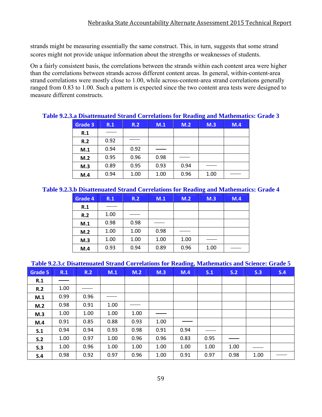strands might be measuring essentially the same construct. This, in turn, suggests that some strand scores might not provide unique information about the strengths or weaknesses of students.

On a fairly consistent basis, the correlations between the strands within each content area were higher than the correlations between strands across different content areas. In general, within-content-area strand correlations were mostly close to 1.00, while across-content-area strand correlations generally ranged from 0.83 to 1.00. Such a pattern is expected since the two content area tests were designed to measure different constructs.

| $\mathcal{I}$ .2.5. a Disaltentated bu and Correlations for Iveauing and Mathematics, $\mathcal{I}$ |      |      |      |      |      |     |
|-----------------------------------------------------------------------------------------------------|------|------|------|------|------|-----|
| Grade 3                                                                                             | R.1  | R.2  | M.1  | M.2  | M.3  | M.4 |
| R.1                                                                                                 |      |      |      |      |      |     |
| R.2                                                                                                 | 0.92 |      |      |      |      |     |
| M.1                                                                                                 | 0.94 | 0.92 |      |      |      |     |
| M.2                                                                                                 | 0.95 | 0.96 | 0.98 |      |      |     |
| M.3                                                                                                 | 0.89 | 0.95 | 0.93 | 0.94 |      |     |
| M.4                                                                                                 | 0.94 | 1.00 | 1.00 | 0.96 | 1.00 |     |

### **Table 9.2.3.a Disattenuated Strand Correlations for Reading and Mathematics: Grade 3**

#### **Table 9.2.3.b Disattenuated Strand Correlations for Reading and Mathematics: Grade 4**

| Grade 4 | R.1  | R.2  | M.1  | M.2  | M.3  | M.4 |
|---------|------|------|------|------|------|-----|
| R.1     |      |      |      |      |      |     |
| R.2     | 1.00 |      |      |      |      |     |
| M.1     | 0.98 | 0.98 |      |      |      |     |
| M.2     | 1.00 | 1.00 | 0.98 |      |      |     |
| M.3     | 1.00 | 1.00 | 1.00 | 1.00 |      |     |
| M.4     | 0.93 | 0.94 | 0.89 | 0.96 | 1.00 |     |

#### **Table 9.2.3.c Disattenuated Strand Correlations for Reading, Mathematics and Science: Grade 5**

| Grade 5 | R.1  | R.2  | M.1  | M.2  | M.3  | M.4  | S.1  | S.2  | S.3  | S.4 |
|---------|------|------|------|------|------|------|------|------|------|-----|
| R.1     |      |      |      |      |      |      |      |      |      |     |
| R.2     | 1.00 |      |      |      |      |      |      |      |      |     |
| M.1     | 0.99 | 0.96 |      |      |      |      |      |      |      |     |
| M.2     | 0.98 | 0.91 | 1.00 |      |      |      |      |      |      |     |
| M.3     | 1.00 | 1.00 | 1.00 | 1.00 |      |      |      |      |      |     |
| M.4     | 0.91 | 0.85 | 0.88 | 0.93 | 1.00 |      |      |      |      |     |
| S.1     | 0.94 | 0.94 | 0.93 | 0.98 | 0.91 | 0.94 |      |      |      |     |
| S.2     | 1.00 | 0.97 | 1.00 | 0.96 | 0.96 | 0.83 | 0.95 |      |      |     |
| S.3     | 1.00 | 0.96 | 1.00 | 1.00 | 1.00 | 1.00 | 1.00 | 1.00 |      |     |
| S.4     | 0.98 | 0.92 | 0.97 | 0.96 | 1.00 | 0.91 | 0.97 | 0.98 | 1.00 |     |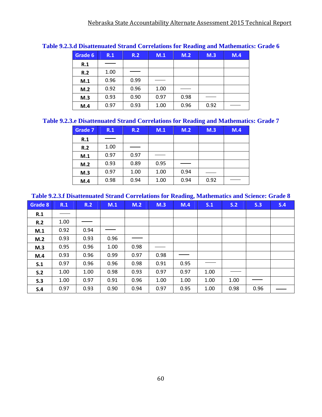|         |      |      |      |      | 0    |     |
|---------|------|------|------|------|------|-----|
| Grade 6 | R.1  | R.2  | M.1  | M.2  | M.3  | M.4 |
| R.1     |      |      |      |      |      |     |
| R.2     | 1.00 |      |      |      |      |     |
| M.1     | 0.96 | 0.99 |      |      |      |     |
| M.2     | 0.92 | 0.96 | 1.00 |      |      |     |
| M.3     | 0.93 | 0.90 | 0.97 | 0.98 |      |     |
| M.4     | 0.97 | 0.93 | 1.00 | 0.96 | 0.92 |     |

#### **Table 9.2.3.d Disattenuated Strand Correlations for Reading and Mathematics: Grade 6**

#### **Table 9.2.3.e Disattenuated Strand Correlations for Reading and Mathematics: Grade 7**

| Grade 7 | R.1  | R.2  | M.1  | M.2  | M.3  | M.4 |
|---------|------|------|------|------|------|-----|
| R.1     |      |      |      |      |      |     |
| R.2     | 1.00 |      |      |      |      |     |
| M.1     | 0.97 | 0.97 |      |      |      |     |
| M.2     | 0.93 | 0.89 | 0.95 |      |      |     |
| M.3     | 0.97 | 1.00 | 1.00 | 0.94 |      |     |
| M.4     | 0.98 | 0.94 | 1.00 | 0.94 | 0.92 |     |

#### **Table 9.2.3.f Disattenuated Strand Correlations for Reading, Mathematics and Science: Grade 8**

| <b>Grade 8</b> | R.1  | R.2  | M.1  | M.2  | M.3  | M.4  | S.1  | S.2  | S.3  | S.4 |
|----------------|------|------|------|------|------|------|------|------|------|-----|
| R.1            |      |      |      |      |      |      |      |      |      |     |
| R.2            | 1.00 |      |      |      |      |      |      |      |      |     |
| M.1            | 0.92 | 0.94 |      |      |      |      |      |      |      |     |
| M.2            | 0.93 | 0.93 | 0.96 |      |      |      |      |      |      |     |
| M.3            | 0.95 | 0.96 | 1.00 | 0.98 |      |      |      |      |      |     |
| M.4            | 0.93 | 0.96 | 0.99 | 0.97 | 0.98 |      |      |      |      |     |
| S.1            | 0.97 | 0.96 | 0.96 | 0.98 | 0.91 | 0.95 |      |      |      |     |
| S.2            | 1.00 | 1.00 | 0.98 | 0.93 | 0.97 | 0.97 | 1.00 |      |      |     |
| S.3            | 1.00 | 0.97 | 0.91 | 0.96 | 1.00 | 1.00 | 1.00 | 1.00 |      |     |
| S.4            | 0.97 | 0.93 | 0.90 | 0.94 | 0.97 | 0.95 | 1.00 | 0.98 | 0.96 |     |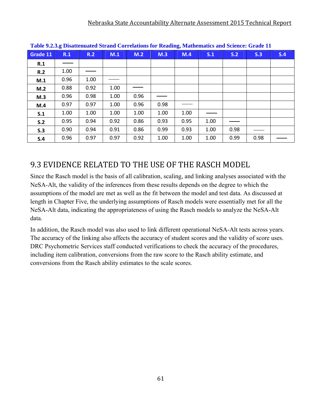| Table 7.4.3.g Disattendated bu and Correlations for Keauing, mathematics and belence. Orade IT |      |      |      |      |      |      |      |      |      |     |  |
|------------------------------------------------------------------------------------------------|------|------|------|------|------|------|------|------|------|-----|--|
| Grade 11                                                                                       | R.1  | R.2  | M.1  | M.2  | M.3  | M.4  | S.1  | S.2  | S.3  | S.4 |  |
| R.1                                                                                            |      |      |      |      |      |      |      |      |      |     |  |
| R.2                                                                                            | 1.00 |      |      |      |      |      |      |      |      |     |  |
| M.1                                                                                            | 0.96 | 1.00 |      |      |      |      |      |      |      |     |  |
| M.2                                                                                            | 0.88 | 0.92 | 1.00 |      |      |      |      |      |      |     |  |
| M.3                                                                                            | 0.96 | 0.98 | 1.00 | 0.96 |      |      |      |      |      |     |  |
| M.4                                                                                            | 0.97 | 0.97 | 1.00 | 0.96 | 0.98 |      |      |      |      |     |  |
| S.1                                                                                            | 1.00 | 1.00 | 1.00 | 1.00 | 1.00 | 1.00 |      |      |      |     |  |
| S.2                                                                                            | 0.95 | 0.94 | 0.92 | 0.86 | 0.93 | 0.95 | 1.00 |      |      |     |  |
| S.3                                                                                            | 0.90 | 0.94 | 0.91 | 0.86 | 0.99 | 0.93 | 1.00 | 0.98 |      |     |  |
| S.4                                                                                            | 0.96 | 0.97 | 0.97 | 0.92 | 1.00 | 1.00 | 1.00 | 0.99 | 0.98 |     |  |

**Table 9.2.3.g Disattenuated Strand Correlations for Reading, Mathematics and Science: Grade 11** 

# 9.3 EVIDENCE RELATED TO THE USE OF THE RASCH MODEL

Since the Rasch model is the basis of all calibration, scaling, and linking analyses associated with the NeSA-Alt, the validity of the inferences from these results depends on the degree to which the assumptions of the model are met as well as the fit between the model and test data. As discussed at length in Chapter Five, the underlying assumptions of Rasch models were essentially met for all the NeSA-Alt data, indicating the appropriateness of using the Rasch models to analyze the NeSA-Alt data.

In addition, the Rasch model was also used to link different operational NeSA-Alt tests across years. The accuracy of the linking also affects the accuracy of student scores and the validity of score uses. DRC Psychometric Services staff conducted verifications to check the accuracy of the procedures, including item calibration, conversions from the raw score to the Rasch ability estimate, and conversions from the Rasch ability estimates to the scale scores.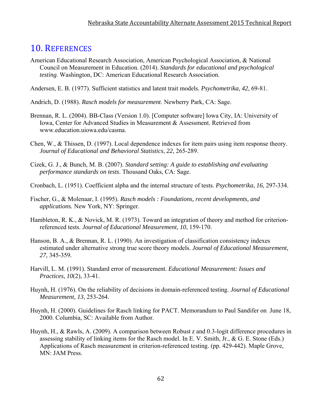### 10. REFERENCES

- American Educational Research Association, American Psychological Association, & National Council on Measurement in Education. (2014). *Standards for educational and psychological testing*. Washington, DC: American Educational Research Association.
- Andersen, E. B. (1977). Sufficient statistics and latent trait models. *Psychometrika*, *42*, 69-81.
- Andrich, D. (1988). *Rasch models for measurement*. Newberry Park, CA: Sage.
- Brennan, R. L. (2004). BB-Class (Version 1.0). [Computer software] Iowa City, IA: University of Iowa, Center for Advanced Studies in Measurement & Assessment. Retrieved from www.education.uiowa.edu/casma.
- Chen, W., & Thissen, D. (1997). Local dependence indexes for item pairs using item response theory. *Journal of Educational and Behavioral Statistics*, *22*, 265-289.
- Cizek, G. J., & Bunch, M. B. (2007). *Standard setting: A guide to establishing and evaluating performance standards on tests*. Thousand Oaks, CA: Sage.
- Cronbach, L. (1951). Coefficient alpha and the internal structure of tests. *Psychometrika*, *16*, 297-334.
- Fischer, G., & Molenaar, I. (1995). *Rasch models : Foundations, recent developments, and applications.* New York, NY: Springer.
- Hambleton, R. K., & Novick, M. R. (1973). Toward an integration of theory and method for criterionreferenced tests. *Journal of Educational Measurement*, *10*, 159-170.
- Hanson, B. A., & Brennan, R. L. (1990). An investigation of classification consistency indexes estimated under alternative strong true score theory models. *Journal of Educational Measurement, 27,* 345-359*.*
- Harvill, L. M. (1991). Standard error of measurement. *Educational Measurement: Issues and Practices*, *10*(2), 33-41.
- Huynh, H. (1976). On the reliability of decisions in domain-referenced testing. *Journal of Educational Measurement, 13*, 253-264.
- Huynh, H. (2000). Guidelines for Rasch linking for PACT. Memorandum to Paul Sandifer on June 18, 2000. Columbia, SC: Available from Author.
- Huynh, H., & Rawls, A. (2009). A comparison between Robust *z* and 0.3-logit difference procedures in assessing stability of linking items for the Rasch model. In E. V. Smith, Jr., & G. E. Stone (Eds.) Applications of Rasch measurement in criterion-referenced testing. (pp. 429-442). Maple Grove, MN: JAM Press.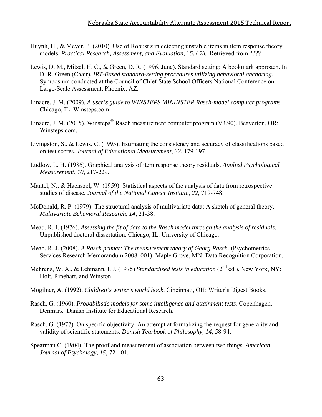- Huynh, H., & Meyer, P. (2010). Use of Robust *z* in detecting unstable items in item response theory models. *Practical Research, Assessment, and Evaluation*, 1*5*, ( 2). Retrieved from ????
- Lewis, D. M., Mitzel, H. C., & Green, D. R. (1996, June). Standard setting: A bookmark approach. In D. R. Green (Chair), *IRT-Based standard-setting procedures utilizing behavioral anchoring*. Symposium conducted at the Council of Chief State School Officers National Conference on Large-Scale Assessment, Phoenix, AZ.
- Linacre, J. M. (2009). *A user's guide to WINSTEPS MININSTEP Rasch-model computer programs*. Chicago, IL: Winsteps.com
- Linacre, J. M. (2015). Winsteps<sup>®</sup> Rasch measurement computer program (V3.90). Beaverton, OR: Winsteps.com.
- Livingston, S., & Lewis, C. (1995). Estimating the consistency and accuracy of classifications based on test scores. *Journal of Educational Measurement*, *32*, 179-197.
- Ludlow, L. H. (1986). Graphical analysis of item response theory residuals. *Applied Psychological Measurement*, *10*, 217-229.
- Mantel, N., & Haenszel, W. (1959). Statistical aspects of the analysis of data from retrospective studies of disease. *Journal of the National Cancer Institute*, *22*, 719-748.
- McDonald, R. P. (1979). The structural analysis of multivariate data: A sketch of general theory. *Multivariate Behavioral Research*, *14*, 21-38.
- Mead, R. J. (1976). *Assessing the fit of data to the Rasch model through the analysis of residuals*. Unpublished doctoral dissertation. Chicago, IL: University of Chicago.
- Mead, R. J. (2008). *A Rasch primer: The measurement theory of Georg Rasch*. (Psychometrics Services Research Memorandum 2008–001). Maple Grove, MN: Data Recognition Corporation.
- Mehrens, W. A., & Lehmann, I. J. (1975) *Standardized tests in education* (2<sup>nd</sup> ed.). New York, NY: Holt, Rinehart, and Winston.
- Mogilner, A. (1992). *Children's writer's world book*. Cincinnati, OH: Writer's Digest Books.
- Rasch, G. (1960). *Probabilistic models for some intelligence and attainment tests*. Copenhagen, Denmark: Danish Institute for Educational Research.
- Rasch, G. (1977). On specific objectivity: An attempt at formalizing the request for generality and validity of scientific statements. *Danish Yearbook of Philosophy, 14*, 58-94.
- Spearman C. (1904). The proof and measurement of association between two things. *American Journal of Psychology*, *15*, 72-101.